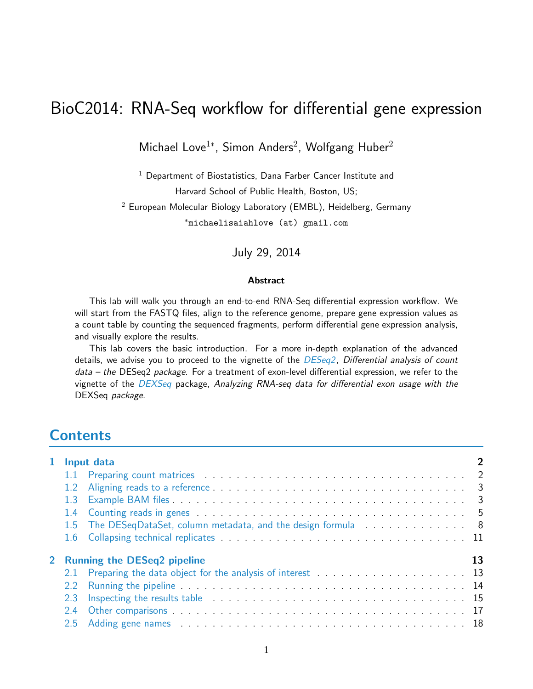# BioC2014: RNA-Seq workflow for differential gene expression

Michael Love<sup>1</sup>\*, Simon Anders<sup>2</sup>, Wolfgang Huber<sup>2</sup>

 $1$  Department of Biostatistics, Dana Farber Cancer Institute and Harvard School of Public Health, Boston, US;  $2$  European Molecular Biology Laboratory (EMBL), Heidelberg, Germany <sup>∗</sup>michaelisaiahlove (at) gmail.com

July 29, 2014

#### Abstract

This lab will walk you through an end-to-end RNA-Seq differential expression workflow. We will start from the FASTQ files, align to the reference genome, prepare gene expression values as a count table by counting the sequenced fragments, perform differential gene expression analysis, and visually explore the results.

This lab covers the basic introduction. For a more in-depth explanation of the advanced details, we advise you to proceed to the vignette of the  $DESeq2$ , Differential analysis of count data – the DESeq2 package. For a treatment of exon-level differential expression, we refer to the vignette of the [DEXSeq](http://bioconductor.org/packages/release/bioc/html/DEXSeq.html) package, Analyzing RNA-seq data for differential exon usage with the DEXSeq package.

## **Contents**

|               | 1 Input data                                                                                                                                                                                                                   |    |  |  |  |  |  |  |  |  |
|---------------|--------------------------------------------------------------------------------------------------------------------------------------------------------------------------------------------------------------------------------|----|--|--|--|--|--|--|--|--|
|               |                                                                                                                                                                                                                                |    |  |  |  |  |  |  |  |  |
|               | 1.2 Aligning reads to a reference entitled and and all the set of the set of the set of the set of the set of the set of the set of the set of the set of the set of the set of the set of the set of the set of the set of th |    |  |  |  |  |  |  |  |  |
| 1.3           |                                                                                                                                                                                                                                |    |  |  |  |  |  |  |  |  |
|               |                                                                                                                                                                                                                                |    |  |  |  |  |  |  |  |  |
|               | 1.5 The DESeqDataSet, column metadata, and the design formula 8                                                                                                                                                                |    |  |  |  |  |  |  |  |  |
|               |                                                                                                                                                                                                                                |    |  |  |  |  |  |  |  |  |
|               | 2 Running the DESeq2 pipeline                                                                                                                                                                                                  | 13 |  |  |  |  |  |  |  |  |
|               |                                                                                                                                                                                                                                |    |  |  |  |  |  |  |  |  |
| 2.2           |                                                                                                                                                                                                                                |    |  |  |  |  |  |  |  |  |
| 2.3           |                                                                                                                                                                                                                                |    |  |  |  |  |  |  |  |  |
| 2.4           |                                                                                                                                                                                                                                |    |  |  |  |  |  |  |  |  |
| $2.5^{\circ}$ | Adding gene names entertainment and the contract of the contract of the contract of the contract of the contract of the contract of the contract of the contract of the contract of the contract of the contract of the contra |    |  |  |  |  |  |  |  |  |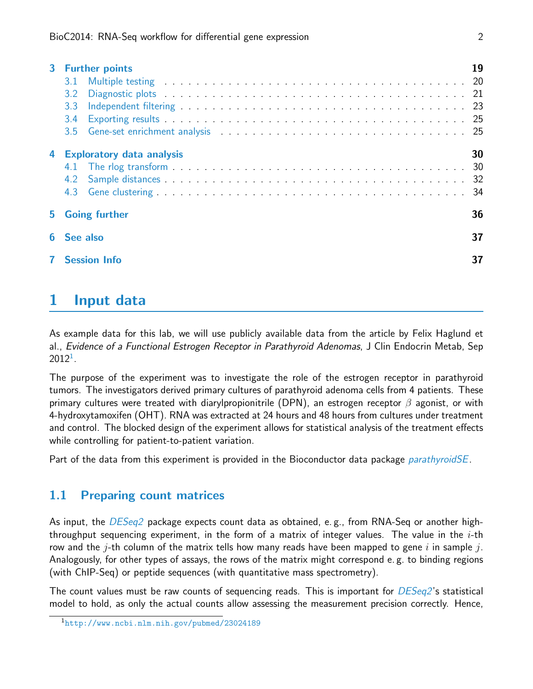| $\mathbf{3}$ | <b>Further points</b><br>3.1<br>3.2<br>3.3<br>$3.4^{\circ}$ | 19 |
|--------------|-------------------------------------------------------------|----|
| 4            | <b>Exploratory data analysis</b>                            | 30 |
| 5.           | <b>Going further</b>                                        | 36 |
|              | See also                                                    | 37 |
|              | <b>Session Info</b>                                         | 37 |

# <span id="page-1-0"></span>1 Input data

As example data for this lab, we will use publicly available data from the article by Felix Haglund et al., Evidence of a Functional Estrogen Receptor in Parathyroid Adenomas, J Clin Endocrin Metab, Sep  $2012^1$  $2012^1$  $2012^1$ .

The purpose of the experiment was to investigate the role of the estrogen receptor in parathyroid tumors. The investigators derived primary cultures of parathyroid adenoma cells from 4 patients. These primary cultures were treated with diarylpropionitrile (DPN), an estrogen receptor  $\beta$  agonist, or with 4-hydroxytamoxifen (OHT). RNA was extracted at 24 hours and 48 hours from cultures under treatment and control. The blocked design of the experiment allows for statistical analysis of the treatment effects while controlling for patient-to-patient variation.

Part of the data from this experiment is provided in the Bioconductor data package *[parathyroidSE](http://bioconductor.org/packages/release/data/experiment/html/parathyroidSE.html)*.

### <span id="page-1-1"></span>1.1 Preparing count matrices

As input, the  $DESeq2$  package expects count data as obtained, e.g., from RNA-Seq or another highthroughput sequencing experiment, in the form of a matrix of integer values. The value in the  $i$ -th row and the j-th column of the matrix tells how many reads have been mapped to gene i in sample j. Analogously, for other types of assays, the rows of the matrix might correspond e. g. to binding regions (with ChIP-Seq) or peptide sequences (with quantitative mass spectrometry).

The count values must be raw counts of sequencing reads. This is important for  $DESeq2$ 's statistical model to hold, as only the actual counts allow assessing the measurement precision correctly. Hence,

<span id="page-1-2"></span><sup>1</sup><http://www.ncbi.nlm.nih.gov/pubmed/23024189>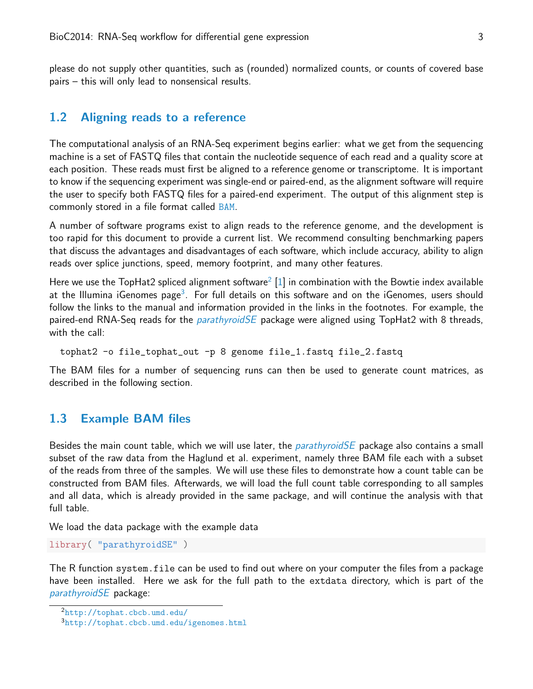please do not supply other quantities, such as (rounded) normalized counts, or counts of covered base pairs – this will only lead to nonsensical results.

#### <span id="page-2-0"></span>1.2 Aligning reads to a reference

The computational analysis of an RNA-Seq experiment begins earlier: what we get from the sequencing machine is a set of FASTQ files that contain the nucleotide sequence of each read and a quality score at each position. These reads must first be aligned to a reference genome or transcriptome. It is important to know if the sequencing experiment was single-end or paired-end, as the alignment software will require the user to specify both FASTQ files for a paired-end experiment. The output of this alignment step is commonly stored in a file format called [BAM](http://samtools.github.io/hts-specs).

A number of software programs exist to align reads to the reference genome, and the development is too rapid for this document to provide a current list. We recommend consulting benchmarking papers that discuss the advantages and disadvantages of each software, which include accuracy, ability to align reads over splice junctions, speed, memory footprint, and many other features.

Here we use the TopHat[2](#page-2-2) spliced alignment software $^2$  [\[1\]](#page-36-2) in combination with the Bowtie index available at the Illumina iGenomes page $^3$  $^3$ . For full details on this software and on the iGenomes, users should follow the links to the manual and information provided in the links in the footnotes. For example, the paired-end RNA-Seq reads for the *[parathyroidSE](http://bioconductor.org/packages/release/data/experiment/html/parathyroidSE.html)* package were aligned using TopHat2 with 8 threads, with the call:

tophat2 -o file\_tophat\_out -p 8 genome file\_1.fastq file\_2.fastq

The BAM files for a number of sequencing runs can then be used to generate count matrices, as described in the following section.

#### <span id="page-2-1"></span>1.3 Example BAM files

Besides the main count table, which we will use later, the *[parathyroidSE](http://bioconductor.org/packages/release/data/experiment/html/parathyroidSE.html)* package also contains a small subset of the raw data from the Haglund et al. experiment, namely three BAM file each with a subset of the reads from three of the samples. We will use these files to demonstrate how a count table can be constructed from BAM files. Afterwards, we will load the full count table corresponding to all samples and all data, which is already provided in the same package, and will continue the analysis with that full table.

We load the data package with the example data

```
library( "parathyroidSE" )
```
The R function system.file can be used to find out where on your computer the files from a package have been installed. Here we ask for the full path to the extdata directory, which is part of the [parathyroidSE](http://bioconductor.org/packages/release/data/experiment/html/parathyroidSE.html) package:

<span id="page-2-2"></span><sup>2</sup><http://tophat.cbcb.umd.edu/>

<span id="page-2-3"></span><sup>3</sup><http://tophat.cbcb.umd.edu/igenomes.html>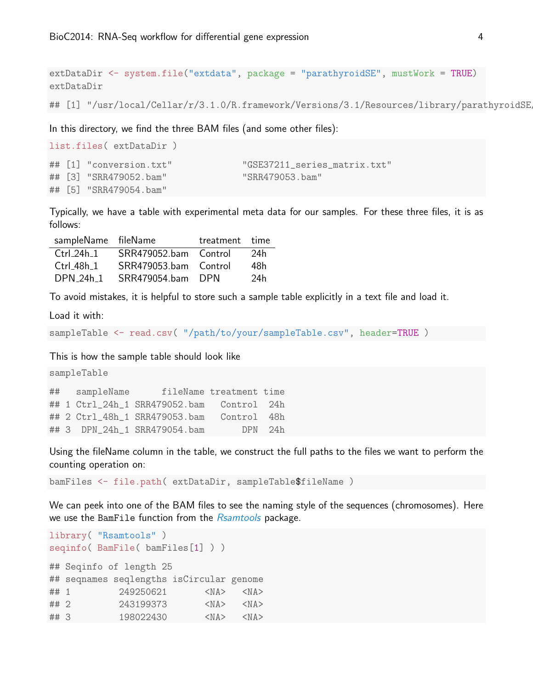extDataDir <- system.file("extdata", package = "parathyroidSE", mustWork = TRUE) extDataDir

## [1] "/usr/local/Cellar/r/3.1.0/R.framework/Versions/3.1/Resources/library/parathyroidSE

In this directory, we find the three BAM files (and some other files):

```
list.files( extDataDir )
## [1] "conversion.txt" "GSE37211 series matrix.txt"
## [3] "SRR479052.bam" "SRR479053.bam"
## [5] "SRR479054.bam"
```
Typically, we have a table with experimental meta data for our samples. For these three files, it is as follows:

| sampleName fileName |                       | treatment time |     |
|---------------------|-----------------------|----------------|-----|
| Ctrl $24h$ 1        | SRR479052.bam Control |                | 24h |
| $Ctrl_48h_1$        | SRR479053.bam Control |                | 48h |
| DPN 24h 1           | SRR479054.bam         | -DPN           | 24h |

To avoid mistakes, it is helpful to store such a sample table explicitly in a text file and load it.

Load it with:

```
sampleTable <- read.csv( "/path/to/your/sampleTable.csv", header=TRUE )
```
This is how the sample table should look like

```
sampleTable
## sampleName fileName treatment time
## 1 Ctrl_24h_1 SRR479052.bam Control 24h
## 2 Ctrl_48h_1 SRR479053.bam Control 48h
## 3 DPN_24h_1 SRR479054.bam DPN 24h
```
Using the fileName column in the table, we construct the full paths to the files we want to perform the counting operation on:

bamFiles <- file.path( extDataDir, sampleTable\$fileName )

We can peek into one of the BAM files to see the naming style of the sequences (chromosomes). Here we use the BamFile function from the [Rsamtools](http://bioconductor.org/packages/release/bioc/html/Rsamtools.html) package.

```
library( "Rsamtools" )
seqinfo( BamFile( bamFiles[1] ) )
## Seqinfo of length 25
## seqnames seqlengths isCircular genome
## 1 249250621 <NA> <NA>
## 2 243199373 <NA> <NA>
## 3 198022430 <NA> <NA>
```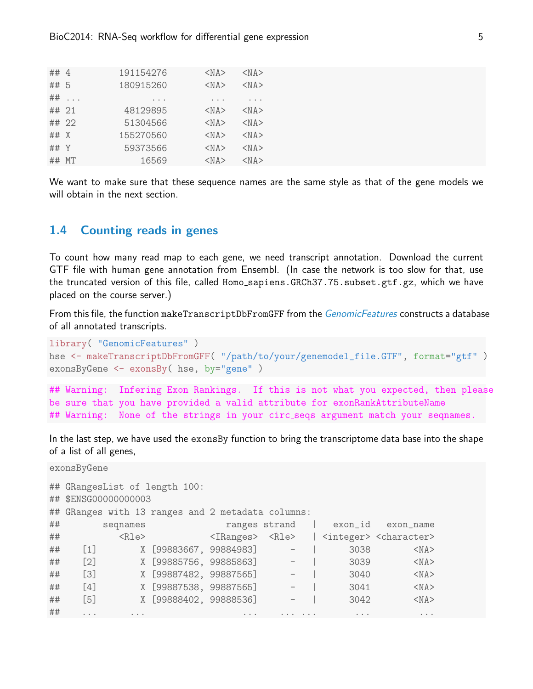| ## 4       |                      | 191154276 | $<$ NA $>$ | $<$ NA $>$ |
|------------|----------------------|-----------|------------|------------|
| ## 5       |                      | 180915260 | $<$ NA $>$ | $<$ NA $>$ |
| ##         | $\sim$ $\sim$ $\sim$ |           | $\cdots$   |            |
| ## 21      |                      | 48129895  | $<$ NA $>$ | $<$ NA $>$ |
|            | ## 22                | 51304566  | $<$ NA $>$ | $<$ NA $>$ |
| $\#$ # $X$ |                      | 155270560 | $<$ NA $>$ | $<$ NA $>$ |
| ## Y       |                      | 59373566  | $<$ NA $>$ | $<$ NA $>$ |
| ##         | MT.                  | 16569     | $<$ NA $>$ | $<$ NA $>$ |

We want to make sure that these sequence names are the same style as that of the gene models we will obtain in the next section.

#### <span id="page-4-0"></span>1.4 Counting reads in genes

To count how many read map to each gene, we need transcript annotation. Download the current GTF file with human gene annotation from Ensembl. (In case the network is too slow for that, use the truncated version of this file, called Homo\_sapiens.GRCh37.75.subset.gtf.gz, which we have placed on the course server.)

From this file, the function makeTranscriptDbFromGFF from the *[GenomicFeatures](http://bioconductor.org/packages/release/bioc/html/GenomicFeatures.html)* constructs a database of all annotated transcripts.

```
library( "GenomicFeatures" )
hse <- makeTranscriptDbFromGFF( "/path/to/your/genemodel_file.GTF", format="gtf" )
exonsByGene <- exonsBy( hse, by="gene" )
## Warning: Infering Exon Rankings. If this is not what you expected, then please
be sure that you have provided a valid attribute for exonRankAttributeName
## Warning: None of the strings in your circ_seqs argument match your seqnames.
```
In the last step, we have used the exonsBy function to bring the transcriptome data base into the shape of a list of all genes,

```
exonsByGene
## GRangesList of length 100:
## $ENSG00000000003
## GRanges with 13 ranges and 2 metadata columns:
## seqnames ranges strand | exon_id exon_name
## <Rle> <IRanges> <Rle> | <integer> <character>
## [1] X [99883667, 99884983] - | 3038 <NA>
## [2] X [99885756, 99885863] - | 3039 <NA>
## [3] X [99887482, 99887565] - | 3040 <NA>
## [4] X [99887538, 99887565] - | 3041 <NA>
## [5] X [99888402, 99888536] - | 3042 <NA>
## ... ... ... ... ... ... ...
```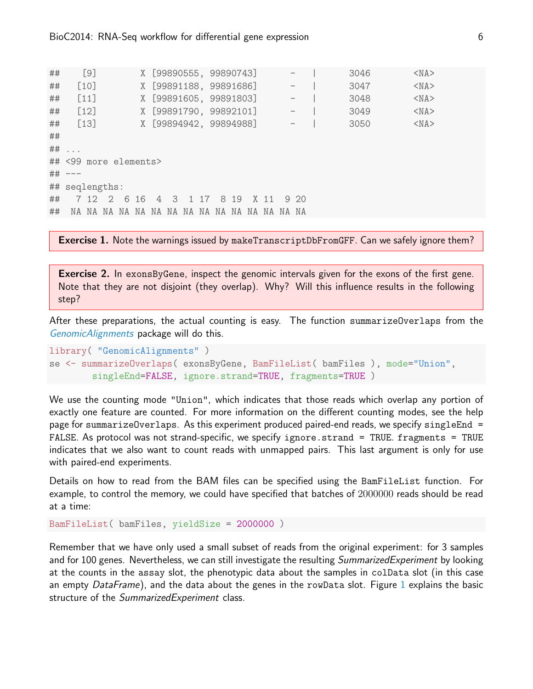## [9] X [99890555, 99890743] - | 3046 <NA> ## [10] X [99891188, 99891686] - | 3047 <NA> ## [11] X [99891605, 99891803] - | 3048 <NA> ## [12] X [99891790, 99892101] - | 3049 <NA> ## [13] X [99894942, 99894988] - | 3050 <NA> ## ## ... ## <99 more elements> ## --- ## seqlengths: ## 7 12 2 6 16 4 3 1 17 8 19 X 11 9 20 ## NA NA NA NA NA NA NA NA NA NA NA NA NA NA NA

Exercise 1. Note the warnings issued by makeTranscriptDbFromGFF. Can we safely ignore them?

Exercise 2. In exonsByGene, inspect the genomic intervals given for the exons of the first gene. Note that they are not disjoint (they overlap). Why? Will this influence results in the following step?

After these preparations, the actual counting is easy. The function summarizeOverlaps from the [GenomicAlignments](http://bioconductor.org/packages/release/bioc/html/GenomicAlignments.html) package will do this.

```
library( "GenomicAlignments" )
se <- summarizeOverlaps( exonsByGene, BamFileList( bamFiles ), mode="Union",
        singleEnd=FALSE, ignore.strand=TRUE, fragments=TRUE )
```
We use the counting mode "Union", which indicates that those reads which overlap any portion of exactly one feature are counted. For more information on the different counting modes, see the help page for summarizeOverlaps. As this experiment produced paired-end reads, we specify singleEnd = FALSE. As protocol was not strand-specific, we specify ignore.strand = TRUE. fragments = TRUE indicates that we also want to count reads with unmapped pairs. This last argument is only for use with paired-end experiments.

Details on how to read from the BAM files can be specified using the BamFileList function. For example, to control the memory, we could have specified that batches of 2000000 reads should be read at a time:

```
BamFileList( bamFiles, yieldSize = 2000000 )
```
Remember that we have only used a small subset of reads from the original experiment: for 3 samples and for 100 genes. Nevertheless, we can still investigate the resulting SummarizedExperiment by looking at the counts in the assay slot, the phenotypic data about the samples in colData slot (in this case an empty DataFrame), and the data about the genes in the rowData slot. Figure [1](#page-8-0) explains the basic structure of the SummarizedExperiment class.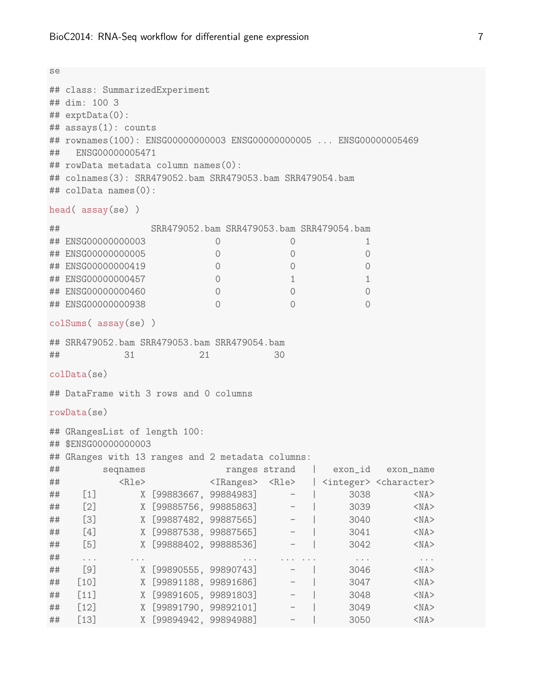```
se
## class: SummarizedExperiment
## dim: 100 3
## exptData(0):
## assays(1): counts
## rownames(100): ENSG00000000003 ENSG00000000005 ... ENSG00000005469
## ENSG00000005471
## rowData metadata column names(0):
## colnames(3): SRR479052.bam SRR479053.bam SRR479054.bam
## colData names(0):
head( assay(se) )
## SRR479052.bam SRR479053.bam SRR479054.bam
## ENSG00000000003 0 0 1
## ENSG00000000005 0 0 0
## ENSG00000000419 0 0 0
## ENSG00000000457 0 1 1 1 1
## ENSG00000000460 0 0 0
## ENSG00000000938 0 0 0
colSums( assay(se) )
## SRR479052.bam SRR479053.bam SRR479054.bam
## 31 21 30
colData(se)
## DataFrame with 3 rows and 0 columns
rowData(se)
## GRangesList of length 100:
## $ENSG00000000003
## GRanges with 13 ranges and 2 metadata columns:
## seqnames ranges strand | exon_id exon_name
## <Rle> <IRanges> <Rle> | <integer> <character>
## [1] X [99883667, 99884983] - | 3038 <NA>
## [2] X [99885756, 99885863] - | 3039 <NA>
## [3] X [99887482, 99887565] - | 3040 <NA>
## [4] X [99887538, 99887565] - | 3041 <NA>
## [5] X [99888402, 99888536] - | 3042 <NA>
## ... ... ... ... ... ... ...
## [9] X [99890555, 99890743] - | 3046 <NA>
## [10] X [99891188, 99891686] - | 3047 <NA>
## [11] X [99891605, 99891803] - | 3048 <NA>
## [12] X [99891790, 99892101] - | 3049 <NA>
## [13] X [99894942, 99894988] - | 3050 <NA>
```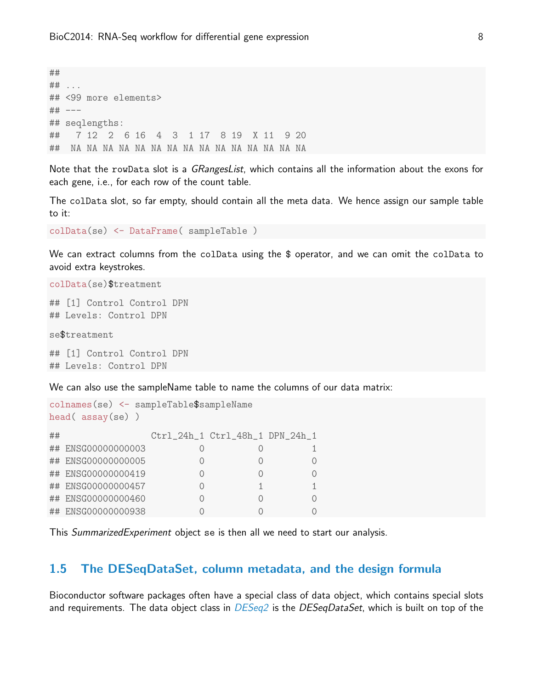## ## ... ## <99 more elements> ## --- ## seqlengths: ## 7 12 2 6 16 4 3 1 17 8 19 X 11 9 20 ## NA NA NA NA NA NA NA NA NA NA NA NA NA NA NA

Note that the rowData slot is a *GRangesList*, which contains all the information about the exons for each gene, i.e., for each row of the count table.

The colData slot, so far empty, should contain all the meta data. We hence assign our sample table to it:

colData(se) <- DataFrame( sampleTable )

We can extract columns from the colData using the \$ operator, and we can omit the colData to avoid extra keystrokes.

colData(se)\$treatment

## [1] Control Control DPN ## Levels: Control DPN

se\$treatment

## [1] Control Control DPN ## Levels: Control DPN

We can also use the sampleName table to name the columns of our data matrix:

```
colnames(se) <- sampleTable$sampleName
head( assay(se) )
## Ctrl_24h_1 Ctrl_48h_1 DPN_24h_1
## ENSG00000000003 0 0 1
## ENSG00000000005 0 0 0
## ENSG00000000419 0 0 0
## ENSG00000000457 0 1 1
## ENSG00000000460 0 0 0
## ENSG00000000938 0 0 0
```
This SummarizedExperiment object se is then all we need to start our analysis.

#### <span id="page-7-0"></span>1.5 The DESeqDataSet, column metadata, and the design formula

Bioconductor software packages often have a special class of data object, which contains special slots and requirements. The data object class in  $DESeq2$  is the  $DESeqDataSet$ , which is built on top of the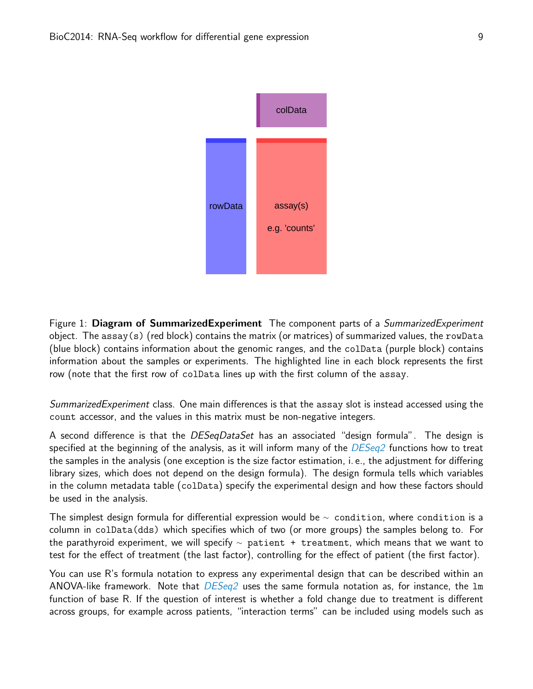

<span id="page-8-0"></span>Figure 1: Diagram of SummarizedExperiment The component parts of a *SummarizedExperiment* object. The assay(s) (red block) contains the matrix (or matrices) of summarized values, the rowData (blue block) contains information about the genomic ranges, and the colData (purple block) contains information about the samples or experiments. The highlighted line in each block represents the first row (note that the first row of colData lines up with the first column of the assay.

SummarizedExperiment class. One main differences is that the assay slot is instead accessed using the count accessor, and the values in this matrix must be non-negative integers.

A second difference is that the *DESeqDataSet* has an associated "design formula". The design is specified at the beginning of the analysis, as it will inform many of the  $DESeq2$  functions how to treat the samples in the analysis (one exception is the size factor estimation, i. e., the adjustment for differing library sizes, which does not depend on the design formula). The design formula tells which variables in the column metadata table (colData) specify the experimental design and how these factors should be used in the analysis.

The simplest design formula for differential expression would be  $\sim$  condition, where condition is a column in colData(dds) which specifies which of two (or more groups) the samples belong to. For the parathyroid experiment, we will specify  $\sim$  patient + treatment, which means that we want to test for the effect of treatment (the last factor), controlling for the effect of patient (the first factor).

You can use R's formula notation to express any experimental design that can be described within an ANOVA-like framework. Note that  $DESeq2$  uses the same formula notation as, for instance, the  $Im$ function of base R. If the question of interest is whether a fold change due to treatment is different across groups, for example across patients, "interaction terms" can be included using models such as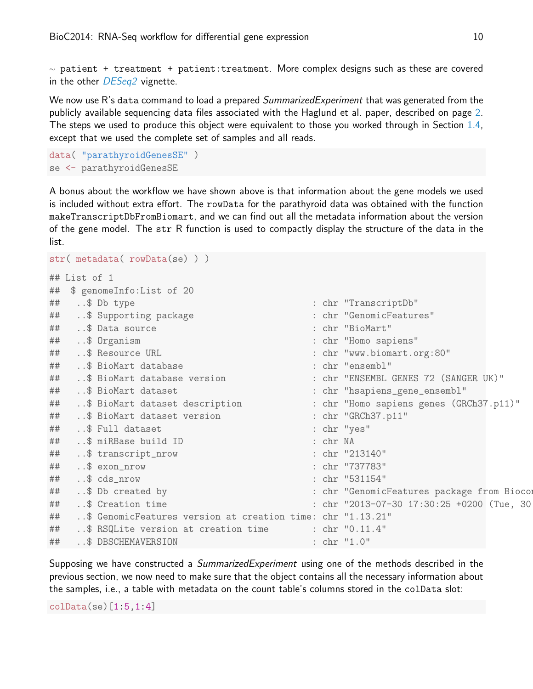$\sim$  patient + treatment + patient: treatment. More complex designs such as these are covered in the other *[DESeq2](http://bioconductor.org/packages/release/bioc/html/DESeq2.html)* vignette.

We now use R's data command to load a prepared SummarizedExperiment that was generated from the publicly available sequencing data files associated with the Haglund et al. paper, described on page [2.](#page-1-0) The steps we used to produce this object were equivalent to those you worked through in Section [1.4,](#page-4-0) except that we used the complete set of samples and all reads.

```
data( "parathyroidGenesSE" )
se <- parathyroidGenesSE
```
A bonus about the workflow we have shown above is that information about the gene models we used is included without extra effort. The rowData for the parathyroid data was obtained with the function makeTranscriptDbFromBiomart, and we can find out all the metadata information about the version of the gene model. The str R function is used to compactly display the structure of the data in the list.

```
str( metadata( rowData(se) ) )
## List of 1
## $ genomeInfo:List of 20
## ..$ Db type : chr "TranscriptDb"
## ..$ Supporting package : chr "GenomicFeatures"
## ..$ Data source : chr "BioMart"
## ..$ Organism : chr "Homo sapiens"
## ..$ Resource URL : chr "www.biomart.org:80"
## ..$ BioMart database : chr "ensembl"
## ..$ BioMart database version : chr "ENSEMBL GENES 72 (SANGER UK)"
## ..$ BioMart dataset : chr "hsapiens_gene_ensembl"
## ..$ BioMart dataset description : chr "Homo sapiens genes (GRCh37.p11)"
## ..$ BioMart dataset version : chr "GRCh37.p11"
## ..$ Full dataset : chr "yes"
## ..$ miRBase build ID : chr NA
## ..$ transcript_nrow : chr "213140"
## ..$ exon_nrow : chr "737783"
## ..$ cds_nrow : chr "531154"
## ..$ Db created by \cdot : chr "GenomicFeatures package from Bioconductor" : chr "GenomicFeatures package from Biocon
## ..$ Creation time : chr "2013-07-30 17:30:25 +0200 (Tue, 30
## ..$ GenomicFeatures version at creation time: chr "1.13.21"
## ..$ RSQLite version at creation time : chr "0.11.4"
## ..$ DBSCHEMAVERSION : chr "1.0"
```
Supposing we have constructed a SummarizedExperiment using one of the methods described in the previous section, we now need to make sure that the object contains all the necessary information about the samples, i.e., a table with metadata on the count table's columns stored in the colData slot:

colData(se)[1:5,1:4]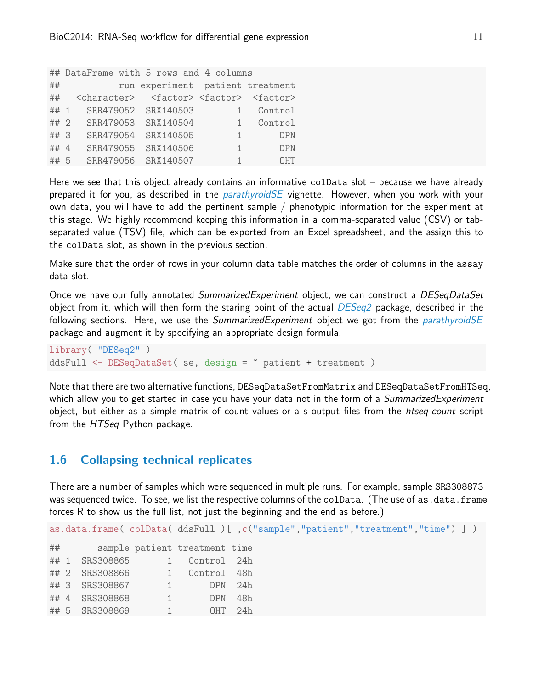```
## DataFrame with 5 rows and 4 columns
## run experiment patient treatment
## <character> <factor> <factor> <factor>
## 1 SRR479052 SRX140503 1 Control
## 2 SRR479053 SRX140504 1 Control
## 3 SRR479054 SRX140505 1 DPN
## 4 SRR479055 SRX140506 1 DPN
## 5 SRR479056 SRX140507 1 OHT
```
Here we see that this object already contains an informative colData slot – because we have already prepared it for you, as described in the *[parathyroidSE](http://bioconductor.org/packages/release/data/experiment/html/parathyroidSE.html)* vignette. However, when you work with your own data, you will have to add the pertinent sample / phenotypic information for the experiment at this stage. We highly recommend keeping this information in a comma-separated value (CSV) or tabseparated value (TSV) file, which can be exported from an Excel spreadsheet, and the assign this to the colData slot, as shown in the previous section.

Make sure that the order of rows in your column data table matches the order of columns in the assay data slot.

Once we have our fully annotated SummarizedExperiment object, we can construct a DESeqDataSet object from it, which will then form the staring point of the actual  $DESeq2$  package, described in the following sections. Here, we use the SummarizedExperiment object we got from the [parathyroidSE](http://bioconductor.org/packages/release/data/experiment/html/parathyroidSE.html) package and augment it by specifying an appropriate design formula.

library( "DESeq2" ) ddsFull <- DESeqDataSet( se, design = ~ patient + treatment )

Note that there are two alternative functions, DESeqDataSetFromMatrix and DESeqDataSetFromHTSeq, which allow you to get started in case you have your data not in the form of a *SummarizedExperiment* object, but either as a simple matrix of count values or a s output files from the htseq-count script from the HTSeq Python package.

### <span id="page-10-0"></span>1.6 Collapsing technical replicates

There are a number of samples which were sequenced in multiple runs. For example, sample SRS308873 was sequenced twice. To see, we list the respective columns of the colData. (The use of as.data.frame forces R to show us the full list, not just the beginning and the end as before.)

as.data.frame(colData(ddsFull)[,c("sample","patient","treatment","time")]) ## sample patient treatment time ## 1 SRS308865 1 Control 24h ## 2 SRS308866 1 Control 48h ## 3 SRS308867 1 DPN 24h ## 4 SRS308868 1 DPN 48h ## 5 SRS308869 1 OHT 24h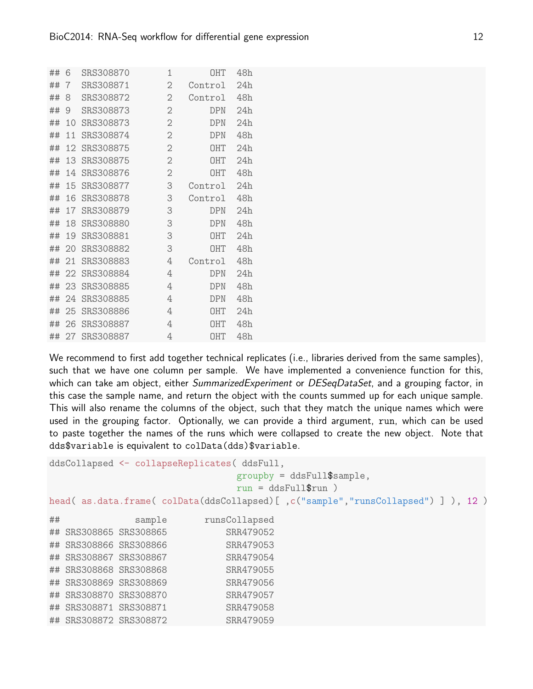| ## | 6  | SRS308870 | $\mathbf 1$    | <b>OHT</b> | 48h |
|----|----|-----------|----------------|------------|-----|
| ## | 7  | SRS308871 | $\overline{2}$ | Control    | 24h |
| ## | 8  | SRS308872 | $\overline{2}$ | Control    | 48h |
| ## | 9  | SRS308873 | $\overline{2}$ | <b>DPN</b> | 24h |
| ## | 10 | SRS308873 | $\overline{2}$ | <b>DPN</b> | 24h |
| ## | 11 | SRS308874 | $\mathbf{2}$   | <b>DPN</b> | 48h |
| ## | 12 | SRS308875 | $\overline{2}$ | <b>OHT</b> | 24h |
| ## | 13 | SRS308875 | $\overline{2}$ | <b>OHT</b> | 24h |
| ## | 14 | SRS308876 | $\overline{2}$ | <b>OHT</b> | 48h |
| ## | 15 | SRS308877 | 3              | Control    | 24h |
| ## | 16 | SRS308878 | 3              | Control    | 48h |
| ## | 17 | SRS308879 | 3              | <b>DPN</b> | 24h |
| ## | 18 | SRS308880 | 3              | DPN        | 48h |
| ## | 19 | SRS308881 | 3              | <b>OHT</b> | 24h |
| ## | 20 | SRS308882 | 3              | <b>OHT</b> | 48h |
| ## | 21 | SRS308883 | 4              | Control    | 48h |
| ## | 22 | SRS308884 | 4              | DPN        | 24h |
| ## | 23 | SRS308885 | 4              | <b>DPN</b> | 48h |
| ## | 24 | SRS308885 | 4              | <b>DPN</b> | 48h |
| ## | 25 | SRS308886 | 4              | <b>OHT</b> | 24h |
| ## | 26 | SRS308887 | 4              | <b>OHT</b> | 48h |
| ## | 27 | SRS308887 | 4              | <b>OHT</b> | 48h |

We recommend to first add together technical replicates (i.e., libraries derived from the same samples), such that we have one column per sample. We have implemented a convenience function for this, which can take am object, either SummarizedExperiment or DESeqDataSet, and a grouping factor, in this case the sample name, and return the object with the counts summed up for each unique sample. This will also rename the columns of the object, such that they match the unique names which were used in the grouping factor. Optionally, we can provide a third argument, run, which can be used to paste together the names of the runs which were collapsed to create the new object. Note that dds\$variable is equivalent to colData(dds)\$variable.

```
ddsCollapsed <- collapseReplicates( ddsFull,
                             groupby = ddsFull$sample,
                             run = ddsFull$run )
head( as.data.frame( colData(ddsCollapsed)[ ,c("sample","runsCollapsed") ] ), 12 )
## sample runsCollapsed
## SRS308865 SRS308865 SRR479052
## SRS308866 SRS308866 SRR479053
## SRS308867 SRS308867 SRR479054
## SRS308868 SRS308868 SRR479055
## SRS308869 SRS308869 SRR479056
## SRS308870 SRS308870 SRR479057
## SRS308871 SRS308871 SRR479058
## SRS308872 SRS308872 SRR479059
```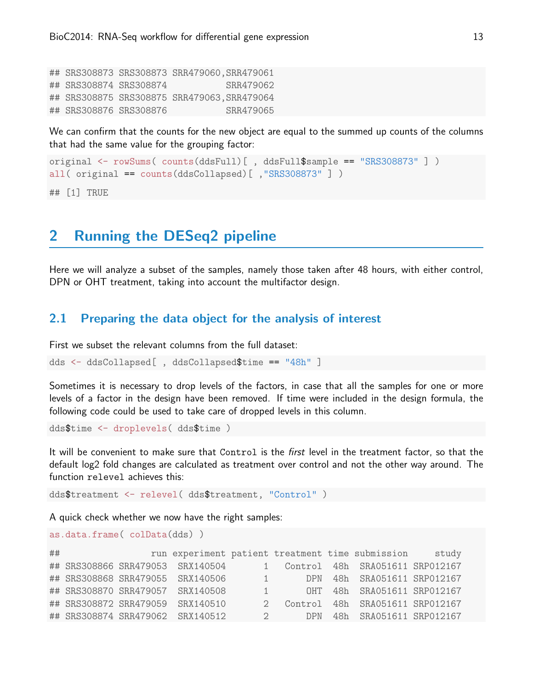## SRS308873 SRS308873 SRR479060,SRR479061 ## SRS308874 SRS308874 SRR479062 ## SRS308875 SRS308875 SRR479063,SRR479064 ## SRS308876 SRS308876 SRR479065

We can confirm that the counts for the new object are equal to the summed up counts of the columns that had the same value for the grouping factor:

```
original <- rowSums( counts(ddsFull)[ , ddsFull$sample == "SRS308873" ] )
all( original == counts(ddsCollapsed)[ ,"SRS308873" ] )
## [1] TRUE
```
# <span id="page-12-0"></span>2 Running the DESeq2 pipeline

Here we will analyze a subset of the samples, namely those taken after 48 hours, with either control, DPN or OHT treatment, taking into account the multifactor design.

#### <span id="page-12-1"></span>2.1 Preparing the data object for the analysis of interest

First we subset the relevant columns from the full dataset:

dds <- ddsCollapsed[ , ddsCollapsed\$time == "48h" ]

Sometimes it is necessary to drop levels of the factors, in case that all the samples for one or more levels of a factor in the design have been removed. If time were included in the design formula, the following code could be used to take care of dropped levels in this column.

dds\$time <- droplevels( dds\$time )

It will be convenient to make sure that Control is the first level in the treatment factor, so that the default log2 fold changes are calculated as treatment over control and not the other way around. The function relevel achieves this:

dds\$treatment <- relevel( dds\$treatment, "Control" )

A quick check whether we now have the right samples:

```
as.data.frame( colData(dds) )
```

| ## |  |                                  |                        | run experiment patient treatment time submission | study |
|----|--|----------------------------------|------------------------|--------------------------------------------------|-------|
|    |  | ## SRS308866 SRR479053 SRX140504 |                        | 1 Control 48h SRA051611 SRP012167                |       |
|    |  | ## SRS308868 SRR479055 SRX140506 | $1 \quad \blacksquare$ | DPN 48h SRA051611 SRP012167                      |       |
|    |  | ## SRS308870 SRR479057 SRX140508 | $\sqrt{1}$             | OHT 48h SRA051611 SRP012167                      |       |
|    |  | ## SRS308872 SRR479059 SRX140510 |                        | 2 Control 48h SRA051611 SRP012167                |       |
|    |  | ## SRS308874 SRR479062 SRX140512 | $\overline{2}$         | DPN 48h SRA051611 SRP012167                      |       |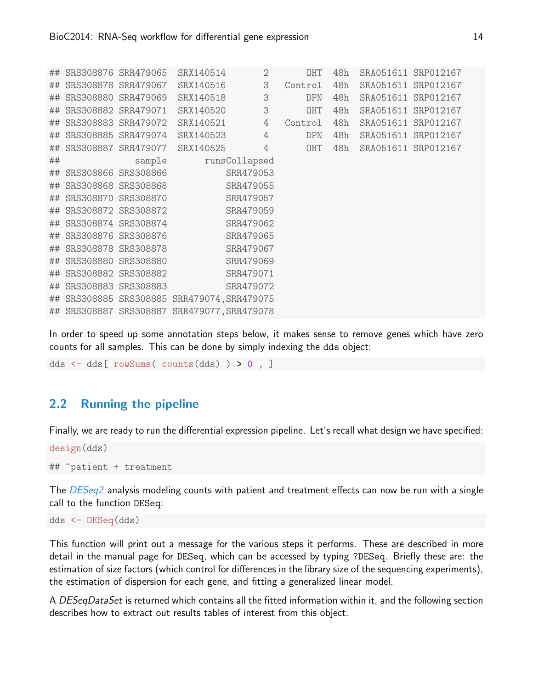|    | ## SRS308876 SRR479065 |        | SRX140514                                   | $\mathbf{2}$   | OHT     | 48h |                     | SRA051611 SRP012167 |  |
|----|------------------------|--------|---------------------------------------------|----------------|---------|-----|---------------------|---------------------|--|
|    |                        |        | ## SRS308878 SRR479067 SRX140516            | 3              | Control | 48h |                     | SRA051611 SRP012167 |  |
|    | ## SRS308880 SRR479069 |        | SRX140518                                   | 3              | DPN     | 48h | SRA051611 SRP012167 |                     |  |
|    | ## SRS308882 SRR479071 |        | SRX140520                                   | 3              | OHT     | 48h |                     | SRA051611 SRP012167 |  |
|    | ## SRS308883 SRR479072 |        | SRX140521                                   | 4              | Control | 48h |                     | SRA051611 SRP012167 |  |
|    | ## SRS308885 SRR479074 |        | SRX140523                                   | $\overline{4}$ | DPN     | 48h |                     | SRA051611 SRP012167 |  |
|    |                        |        | ## SRS308887 SRR479077 SRX140525            | $\overline{4}$ | OHT     | 48h |                     | SRA051611 SRP012167 |  |
| ## |                        | sample |                                             | runsCollapsed  |         |     |                     |                     |  |
|    | ## SRS308866 SRS308866 |        |                                             | SRR479053      |         |     |                     |                     |  |
|    | ## SRS308868 SRS308868 |        |                                             | SRR479055      |         |     |                     |                     |  |
|    | ## SRS308870 SRS308870 |        |                                             | SRR479057      |         |     |                     |                     |  |
|    |                        |        | ## SRS308872 SRS308872                      | SRR479059      |         |     |                     |                     |  |
|    | ## SRS308874 SRS308874 |        | SRR479062                                   |                |         |     |                     |                     |  |
|    | ## SRS308876 SRS308876 |        |                                             | SRR479065      |         |     |                     |                     |  |
|    | ## SRS308878 SRS308878 |        |                                             | SRR479067      |         |     |                     |                     |  |
|    | ## SRS308880 SRS308880 |        |                                             | SRR479069      |         |     |                     |                     |  |
| ## | SRS308882 SRS308882    |        |                                             | SRR479071      |         |     |                     |                     |  |
|    | ## SRS308883 SRS308883 |        |                                             | SRR479072      |         |     |                     |                     |  |
|    |                        |        | ## SRS308885 SRS308885 SRR479074, SRR479075 |                |         |     |                     |                     |  |
|    |                        |        | ## SRS308887 SRS308887 SRR479077, SRR479078 |                |         |     |                     |                     |  |

In order to speed up some annotation steps below, it makes sense to remove genes which have zero counts for all samples. This can be done by simply indexing the dds object:

dds <- dds[ rowSums( counts(dds) ) > 0 , ]

#### <span id="page-13-0"></span>2.2 Running the pipeline

Finally, we are ready to run the differential expression pipeline. Let's recall what design we have specified:

```
design(dds)
## ~patient + treatment
```
The [DESeq2](http://bioconductor.org/packages/release/bioc/html/DESeq2.html) analysis modeling counts with patient and treatment effects can now be run with a single call to the function DESeq:

dds <- DESeq(dds)

This function will print out a message for the various steps it performs. These are described in more detail in the manual page for DESeq, which can be accessed by typing ?DESeq. Briefly these are: the estimation of size factors (which control for differences in the library size of the sequencing experiments), the estimation of dispersion for each gene, and fitting a generalized linear model.

A DESeqDataSet is returned which contains all the fitted information within it, and the following section describes how to extract out results tables of interest from this object.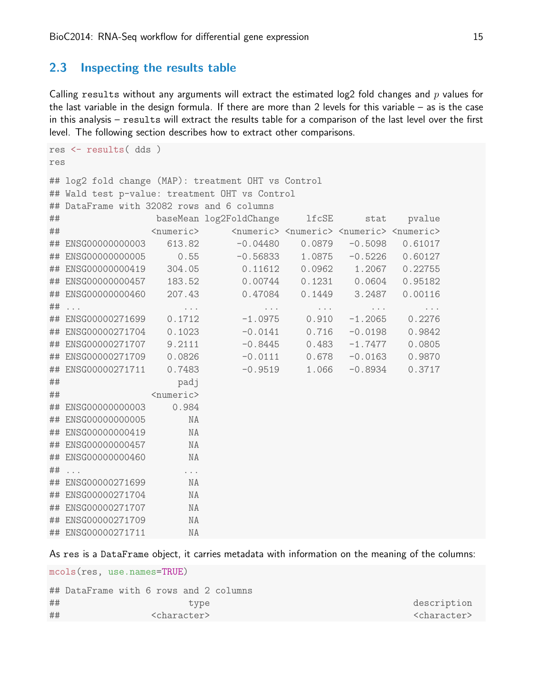#### <span id="page-14-0"></span>2.3 Inspecting the results table

Calling results without any arguments will extract the estimated log2 fold changes and  $p$  values for the last variable in the design formula. If there are more than 2 levels for this variable – as is the case in this analysis – results will extract the results table for a comparison of the last level over the first level. The following section describes how to extract other comparisons.

```
res <- results( dds )
res
## log2 fold change (MAP): treatment OHT vs Control
## Wald test p-value: treatment OHT vs Control
## DataFrame with 32082 rows and 6 columns
## baseMean log2FoldChange lfcSE stat pvalue
## <numeric> <numeric> <numeric> <numeric> <numeric>
## ENSG00000000003 613.82 -0.04480 0.0879 -0.5098 0.61017
## ENSG00000000005 0.55 -0.56833 1.0875 -0.5226 0.60127
## ENSG00000000419 304.05 0.11612 0.0962 1.2067 0.22755
## ENSG00000000457 183.52 0.00744 0.1231 0.0604 0.95182
## ENSG00000000460 207.43 0.47084 0.1449 3.2487 0.00116
## ... ... ... ... ... ...
## ENSG00000271699 0.1712 -1.0975 0.910 -1.2065 0.2276
## ENSG00000271704 0.1023 -0.0141 0.716 -0.0198 0.9842
## ENSG00000271707 9.2111 -0.8445 0.483 -1.7477 0.0805
## ENSG00000271709 0.0826 -0.0111 0.678 -0.0163 0.9870
## ENSG00000271711 0.7483 -0.9519 1.066 -0.8934 0.3717
## padj
## <numeric>
## ENSG00000000003 0.984
## ENSG00000000005 NA
## ENSG00000000419 NA
## ENSG00000000457 NA
## ENSG00000000460 NA
## ... ...
## ENSG00000271699 NA
## ENSG00000271704 NA
## ENSG00000271707 NA
## ENSG00000271709 NA
## ENSG00000271711 NA
```
As res is a DataFrame object, it carries metadata with information on the meaning of the columns:

mcols(res, use.names=TRUE)

|    | ## DataFrame with 6 rows and 2 columns |      |                         |
|----|----------------------------------------|------|-------------------------|
| ## |                                        | type | description             |
| ## | <character></character>                |      | <character></character> |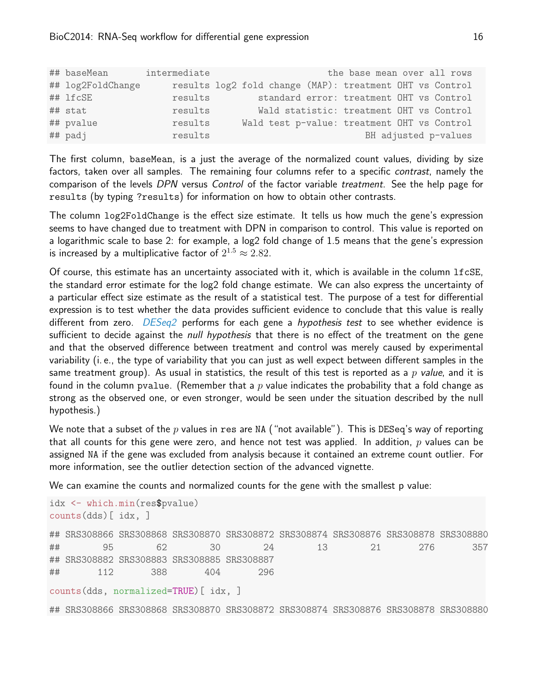| ## baseMean       | intermediate |  | the base mean over all rows                              |                      |
|-------------------|--------------|--|----------------------------------------------------------|----------------------|
| ## log2FoldChange |              |  | results log2 fold change (MAP): treatment OHT vs Control |                      |
| ## lfcSE          | results      |  | standard error: treatment OHT vs Control                 |                      |
| ## stat           | results      |  | Wald statistic: treatment OHT vs Control                 |                      |
| ## pvalue         | results      |  | Wald test p-value: treatment OHT vs Control              |                      |
| ## padj           | results      |  |                                                          | BH adjusted p-values |

The first column, baseMean, is a just the average of the normalized count values, dividing by size factors, taken over all samples. The remaining four columns refer to a specific contrast, namely the comparison of the levels DPN versus Control of the factor variable treatment. See the help page for results (by typing ?results) for information on how to obtain other contrasts.

The column log2FoldChange is the effect size estimate. It tells us how much the gene's expression seems to have changed due to treatment with DPN in comparison to control. This value is reported on a logarithmic scale to base 2: for example, a log2 fold change of 1.5 means that the gene's expression is increased by a multiplicative factor of  $2^{1.5} \approx 2.82.$ 

Of course, this estimate has an uncertainty associated with it, which is available in the column lfcSE, the standard error estimate for the log2 fold change estimate. We can also express the uncertainty of a particular effect size estimate as the result of a statistical test. The purpose of a test for differential expression is to test whether the data provides sufficient evidence to conclude that this value is really different from zero.  $DESeq2$  performs for each gene a *hypothesis test* to see whether evidence is sufficient to decide against the *null hypothesis* that there is no effect of the treatment on the gene and that the observed difference between treatment and control was merely caused by experimental variability (i. e., the type of variability that you can just as well expect between different samples in the same treatment group). As usual in statistics, the result of this test is reported as a p value, and it is found in the column pvalue. (Remember that a p value indicates the probability that a fold change as strong as the observed one, or even stronger, would be seen under the situation described by the null hypothesis.)

We note that a subset of the p values in res are NA ("not available"). This is DESeq's way of reporting that all counts for this gene were zero, and hence not test was applied. In addition,  $p$  values can be assigned NA if the gene was excluded from analysis because it contained an extreme count outlier. For more information, see the outlier detection section of the advanced vignette.

We can examine the counts and normalized counts for the gene with the smallest p value:

```
idx <- which.min(res$pvalue)
counts(dds)[ idx, ]
## SRS308866 SRS308868 SRS308870 SRS308872 SRS308874 SRS308876 SRS308878 SRS308880
## 95 62 30 24 13 21 276 357
## SRS308882 SRS308883 SRS308885 SRS308887
## 112 388 404 296
counts(dds, normalized=TRUE)[ idx, ]
## SRS308866 SRS308868 SRS308870 SRS308872 SRS308874 SRS308876 SRS308878 SRS308880
```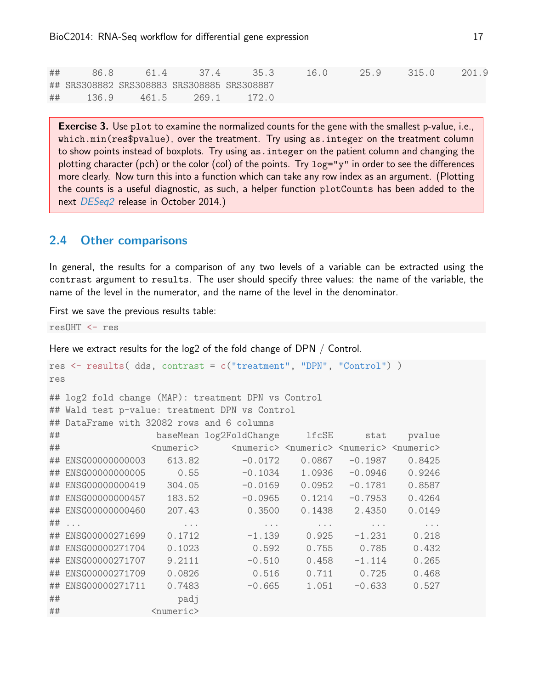## 86.8 61.4 37.4 35.3 16.0 25.9 315.0 201.9 ## SRS308882 SRS308883 SRS308885 SRS308887 ## 136.9 461.5 269.1 172.0

**Exercise 3.** Use plot to examine the normalized counts for the gene with the smallest p-value, i.e., which.min(res\$pvalue), over the treatment. Try using as.integer on the treatment column to show points instead of boxplots. Try using as.integer on the patient column and changing the plotting character (pch) or the color (col) of the points. Try log="y" in order to see the differences more clearly. Now turn this into a function which can take any row index as an argument. (Plotting the counts is a useful diagnostic, as such, a helper function plotCounts has been added to the next [DESeq2](http://bioconductor.org/packages/release/bioc/html/DESeq2.html) release in October 2014.)

#### <span id="page-16-0"></span>2.4 Other comparisons

In general, the results for a comparison of any two levels of a variable can be extracted using the contrast argument to results. The user should specify three values: the name of the variable, the name of the level in the numerator, and the name of the level in the denominator.

First we save the previous results table:

resOHT <- res

Here we extract results for the log2 of the fold change of DPN / Control.

```
res <- results( dds, contrast = c("treatment", "DPN", "Control") )
res
## log2 fold change (MAP): treatment DPN vs Control
## Wald test p-value: treatment DPN vs Control
## DataFrame with 32082 rows and 6 columns
## baseMean log2FoldChange lfcSE stat pvalue
## <numeric> <numeric> <numeric> <numeric> <numeric>
## ENSG00000000003 613.82 -0.0172 0.0867 -0.1987 0.8425
## ENSG00000000005 0.55 -0.1034 1.0936 -0.0946 0.9246
## ENSG00000000419 304.05 -0.0169 0.0952 -0.1781 0.8587
## ENSG00000000457 183.52 -0.0965 0.1214 -0.7953 0.4264
## ENSG00000000460 207.43 0.3500 0.1438 2.4350 0.0149
## ... ... ... ... ... ...
## ENSG00000271699 0.1712 -1.139 0.925 -1.231 0.218
## ENSG00000271704 0.1023 0.592 0.755 0.785 0.432
## ENSG00000271707 9.2111 -0.510 0.458 -1.114 0.265
## ENSG00000271709 0.0826 0.516 0.711 0.725 0.468
## ENSG00000271711  0.7483  -0.665  1.051  -0.633  0.527
## padj
## <numeric>
```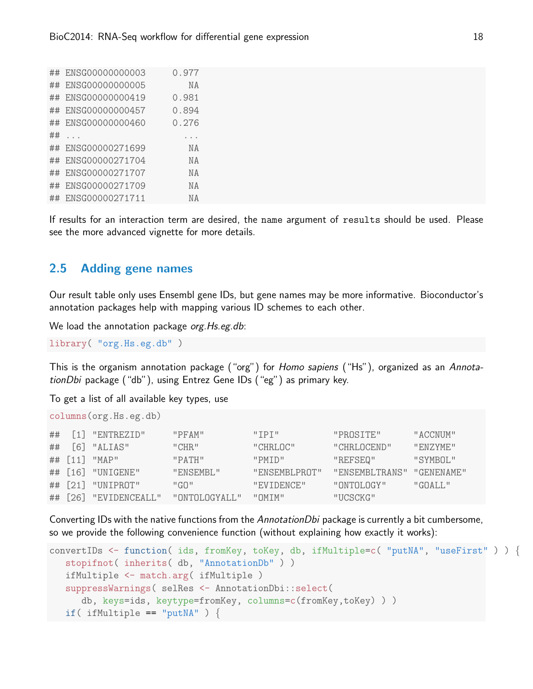| ## | ENSG00000000003    | 0.977     |
|----|--------------------|-----------|
| ## | ENSG00000000005    | ΝA        |
| ## | ENSG00000000419    | 0.981     |
| ## | ENSG00000000457    | 0.894     |
| ## | ENSG00000000460    | 0.276     |
| ## |                    |           |
|    | ## ENSG00000271699 | <b>NA</b> |
| ## | ENSG00000271704    | <b>NA</b> |
| ## | ENSG00000271707    | <b>NA</b> |
| ## | ENSG00000271709    | <b>NA</b> |
| ## | ENSG00000271711    | ΝA        |
|    |                    |           |

If results for an interaction term are desired, the name argument of results should be used. Please see the more advanced vignette for more details.

#### <span id="page-17-0"></span>2.5 Adding gene names

Our result table only uses Ensembl gene IDs, but gene names may be more informative. Bioconductor's annotation packages help with mapping various ID schemes to each other.

We load the annotation package org. Hs.eg.db:

library( "org.Hs.eg.db" )

This is the organism annotation package ("org") for Homo sapiens ("Hs"), organized as an AnnotationDbi package ("db"), using Entrez Gene IDs ("eg") as primary key.

To get a list of all available key types, use

```
columns(org.Hs.eg.db)
```

|    | $\#$ # [1] "ENTREZID" | "PFAM"         | $"$ TPT $"$   | "PROSTTE"      | "ACCNUM"           |
|----|-----------------------|----------------|---------------|----------------|--------------------|
| ## | $[6]$ "ALIAS"         | "CHR"          | "CHRI.OC"     | "CHRI.OCEND"   | "FNZYME"           |
|    | ## [11] "MAP"         | "PATH"         | "PMTD"        | "REFSEQ"       | "SYMBOL"           |
|    | ## [16] "UNIGENE"     | "ENSEMBL"      | "ENSEMBLPROT" | "ENSEMBLTRANS" | "GENENAME"         |
|    | ## [21] "UNIPROT"     | יי ה $G \cup$  | "EVIDENCE"    | "ONTOLOGY"     | $"G\Omega A I.I."$ |
|    | ## [26] "EVIDENCEALL" | "ONTOLOGYALL." | "OMTM"        | "UCSCKG"       |                    |

Converting IDs with the native functions from the AnnotationDbi package is currently a bit cumbersome, so we provide the following convenience function (without explaining how exactly it works):

```
convertIDs <- function( ids, fromKey, toKey, db, ifMultiple=c( "putNA", "useFirst" ) ) {
   stopifnot( inherits( db, "AnnotationDb" ) )
  ifMultiple <- match.arg( ifMultiple )
  suppressWarnings( selRes <- AnnotationDbi::select(
      db, keys=ids, keytype=fromKey, columns=c(fromKey,toKey) ) )
  if( ifMultiple == "putNA" ) \{
```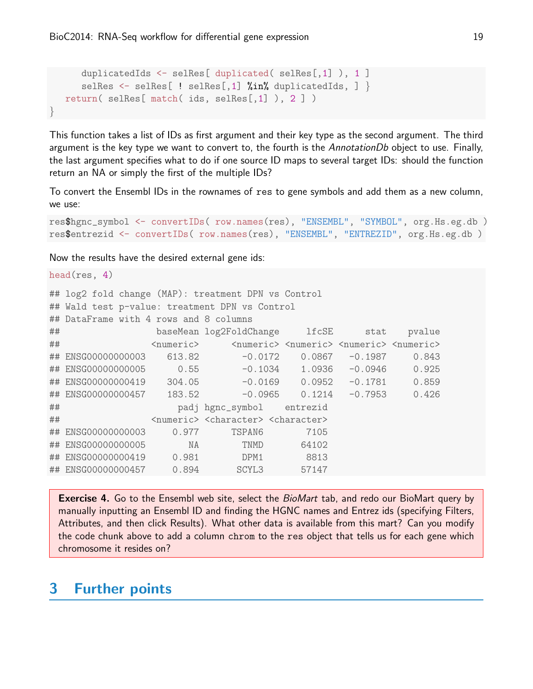```
duplicatedIds <- selRes[ duplicated( selRes[,1] ), 1 ]
     selRes \leq selRes[ ! selRes[,1] %in% duplicatedIds, ] }
  return( selRes[ match( ids, selRes[,1] ), 2 ] )
}
```
This function takes a list of IDs as first argument and their key type as the second argument. The third argument is the key type we want to convert to, the fourth is the AnnotationDb object to use. Finally, the last argument specifies what to do if one source ID maps to several target IDs: should the function return an NA or simply the first of the multiple IDs?

To convert the Ensembl IDs in the rownames of res to gene symbols and add them as a new column, we use:

```
res$hgnc_symbol <- convertIDs( row.names(res), "ENSEMBL", "SYMBOL", org.Hs.eg.db )
res$entrezid <- convertIDs( row.names(res), "ENSEMBL", "ENTREZID", org.Hs.eg.db )
```
Now the results have the desired external gene ids:

|    | head $(res, 4)$                                                 |       |                                                                                                     |                            |  |        |  |  |  |  |
|----|-----------------------------------------------------------------|-------|-----------------------------------------------------------------------------------------------------|----------------------------|--|--------|--|--|--|--|
|    | ## log2 fold change (MAP): treatment DPN vs Control             |       |                                                                                                     |                            |  |        |  |  |  |  |
|    | ## Wald test p-value: treatment DPN vs Control                  |       |                                                                                                     |                            |  |        |  |  |  |  |
|    | ## DataFrame with 4 rows and 8 columns                          |       |                                                                                                     |                            |  |        |  |  |  |  |
| ## |                                                                 |       | baseMean log2FoldChange lfcSE stat                                                                  |                            |  | pvalue |  |  |  |  |
| ## |                                                                 |       | <numeric> <numeric> <numeric> <numeric> <numeric></numeric></numeric></numeric></numeric></numeric> |                            |  |        |  |  |  |  |
|    |                                                                 |       |                                                                                                     | $-0.0172$ 0.0867 $-0.1987$ |  | 0.843  |  |  |  |  |
|    |                                                                 |       |                                                                                                     |                            |  | 0.925  |  |  |  |  |
|    | ## ENSG00000000419 304.05 -0.0169 0.0952 -0.1781 0.859          |       |                                                                                                     |                            |  |        |  |  |  |  |
|    | ## ENSG00000000457  183.52    -0.0965  0.1214    -0.7953  0.426 |       |                                                                                                     |                            |  |        |  |  |  |  |
| ## |                                                                 |       | padj hgnc_symbol entrezid                                                                           |                            |  |        |  |  |  |  |
| ## |                                                                 |       | <numeric> <character> <character></character></character></numeric>                                 |                            |  |        |  |  |  |  |
|    | ## ENSG00000000003                                              | 0.977 | TSPAN6                                                                                              | 7105                       |  |        |  |  |  |  |
|    | ## ENSG00000000005                                              | NA    | TNMD                                                                                                | 64102                      |  |        |  |  |  |  |
|    | ## ENSG00000000419                                              | 0.981 | DPM1                                                                                                | 8813                       |  |        |  |  |  |  |
|    | ## ENSG00000000457 0.894                                        |       | SCYL3                                                                                               | 57147                      |  |        |  |  |  |  |

**Exercise 4.** Go to the Ensembl web site, select the *BioMart* tab, and redo our BioMart query by manually inputting an Ensembl ID and finding the HGNC names and Entrez ids (specifying Filters, Attributes, and then click Results). What other data is available from this mart? Can you modify the code chunk above to add a column chrom to the res object that tells us for each gene which chromosome it resides on?

# <span id="page-18-1"></span><span id="page-18-0"></span>3 Further points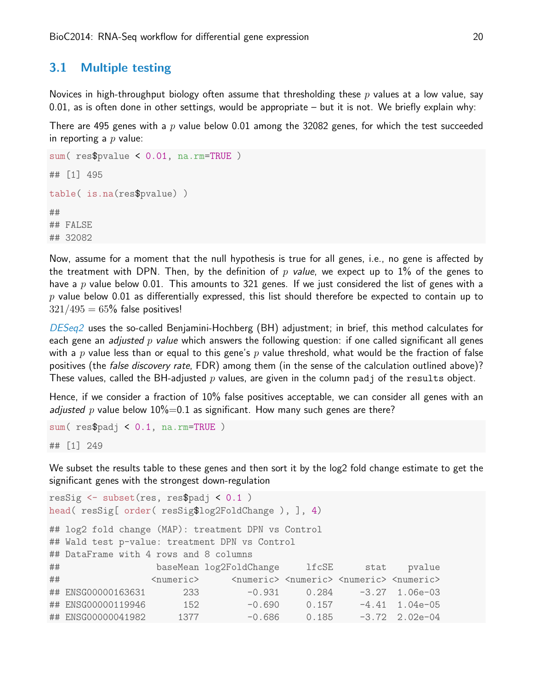#### 3.1 Multiple testing

Novices in high-throughput biology often assume that thresholding these  $p$  values at a low value, say 0.01, as is often done in other settings, would be appropriate  $-$  but it is not. We briefly explain why:

There are 495 genes with a  $p$  value below 0.01 among the 32082 genes, for which the test succeeded in reporting a  $p$  value:

```
sum( res$pvalue < 0.01, na.rm=TRUE )
## [1] 495
table( is.na(res$pvalue) )
##
## FALSE
## 32082
```
Now, assume for a moment that the null hypothesis is true for all genes, i.e., no gene is affected by the treatment with DPN. Then, by the definition of p value, we expect up to 1% of the genes to have a p value below 0.01. This amounts to 321 genes. If we just considered the list of genes with a  $p$  value below 0.01 as differentially expressed, this list should therefore be expected to contain up to  $321/495 = 65%$  false positives!

[DESeq2](http://bioconductor.org/packages/release/bioc/html/DESeq2.html) uses the so-called Benjamini-Hochberg (BH) adjustment; in brief, this method calculates for each gene an *adjusted p value* which answers the following question: if one called significant all genes with a p value less than or equal to this gene's p value threshold, what would be the fraction of false positives (the *false discovery rate*, FDR) among them (in the sense of the calculation outlined above)? These values, called the BH-adjusted  $p$  values, are given in the column padj of the results object.

Hence, if we consider a fraction of 10% false positives acceptable, we can consider all genes with an adjusted p value below  $10\% = 0.1$  as significant. How many such genes are there?

```
sum( res$padj < 0.1, na.rm=TRUE )
## [1] 249
```
We subset the results table to these genes and then sort it by the log2 fold change estimate to get the significant genes with the strongest down-regulation

```
resSig <- subset(res, res$padj < 0.1 )
head( resSig[ order( resSig$log2FoldChange ), ], 4)
## log2 fold change (MAP): treatment DPN vs Control
## Wald test p-value: treatment DPN vs Control
## DataFrame with 4 rows and 8 columns
## baseMean log2FoldChange lfcSE stat pvalue
## <numeric> <numeric> <numeric> <numeric> <numeric>
## ENSG00000163631 233 -0.931 0.284 -3.27 1.06e-03
## ENSG00000119946 152 -0.690 0.157 -4.41 1.04e-05
## ENSG00000041982 1377 -0.686 0.185 -3.72 2.02e-04
```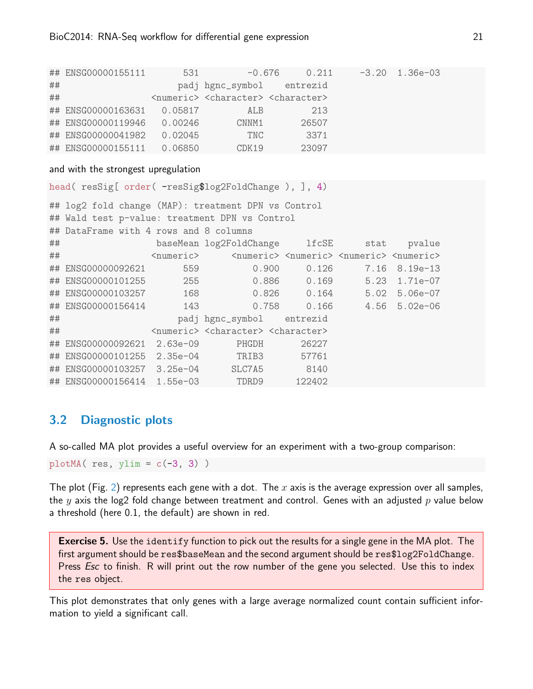|    | ## ENSG00000155111         | 531     | $-0.676$                                                            | 0.211 | $-3.20$ 1.36e-03 |  |
|----|----------------------------|---------|---------------------------------------------------------------------|-------|------------------|--|
| ## |                            |         | padj hgnc_symbol entrezid                                           |       |                  |  |
| ## |                            |         | <numeric> <character> <character></character></character></numeric> |       |                  |  |
|    | ## ENSG00000163631 0.05817 |         | ALB                                                                 | 213   |                  |  |
|    | ## ENSG00000119946         | 0.00246 | CNNM1                                                               | 26507 |                  |  |
|    | ## ENSG00000041982         | 0.02045 | TNC                                                                 | 3371  |                  |  |
|    | ## ENSG00000155111         | 0.06850 | CDK19                                                               | 23097 |                  |  |

#### and with the strongest upregulation

```
head( resSig[ order( -resSig$log2FoldChange ), ], 4)
## log2 fold change (MAP): treatment DPN vs Control
## Wald test p-value: treatment DPN vs Control
## DataFrame with 4 rows and 8 columns
## baseMean log2FoldChange lfcSE stat pvalue
## <numeric> <numeric> <numeric> <numeric> <numeric>
## ENSG00000092621 559 0.900 0.126 7.16 8.19e-13
## ENSG00000101255 255 0.886 0.169 5.23 1.71e-07
## ENSG00000103257 168 0.826 0.164 5.02 5.06e-07
## ENSG00000156414 143 0.758 0.166 4.56 5.02e-06
## padj hgnc_symbol entrezid
## <numeric> <character> <character>
## ENSG00000092621 2.63e-09 PHGDH 26227
## ENSG00000101255 2.35e-04 TRIB3 57761
## ENSG00000103257 3.25e-04 SLC7A5 8140
## ENSG00000156414 1.55e-03 TDRD9 122402
```
## <span id="page-20-0"></span>3.2 Diagnostic plots

A so-called MA plot provides a useful overview for an experiment with a two-group comparison:

```
plotMA(res, ylim = c(-3, 3))
```
The plot (Fig. [2\)](#page-21-0) represents each gene with a dot. The x axis is the average expression over all samples, the y axis the log2 fold change between treatment and control. Genes with an adjusted p value below a threshold (here 0.1, the default) are shown in red.

**Exercise 5.** Use the identify function to pick out the results for a single gene in the MA plot. The first argument should be res\$baseMean and the second argument should be res\$log2FoldChange. Press *Esc* to finish. R will print out the row number of the gene you selected. Use this to index the res object.

This plot demonstrates that only genes with a large average normalized count contain sufficient information to yield a significant call.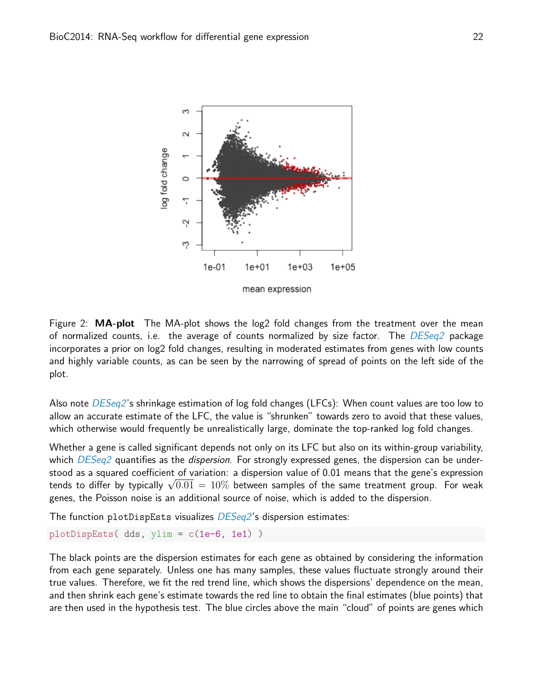

<span id="page-21-0"></span>Figure 2:  $MA-plot$  The MA-plot shows the log2 fold changes from the treatment over the mean of normalized counts, i.e. the average of counts normalized by size factor. The  $DESeq2$  package incorporates a prior on log2 fold changes, resulting in moderated estimates from genes with low counts and highly variable counts, as can be seen by the narrowing of spread of points on the left side of the plot.

Also note *[DESeq2](http://bioconductor.org/packages/release/bioc/html/DESeq2.html)*'s shrinkage estimation of log fold changes (LFCs): When count values are too low to allow an accurate estimate of the LFC, the value is "shrunken" towards zero to avoid that these values, which otherwise would frequently be unrealistically large, dominate the top-ranked log fold changes.

Whether a gene is called significant depends not only on its LFC but also on its within-group variability, which  $DESeq2$  quantifies as the *dispersion*. For strongly expressed genes, the dispersion can be understood as a squared coefficient of variation: a dispersion value of 0.01 means that the gene's expression stood as a squared coerricient or variation: a dispersion value or 0.01 means that the gene's expression<br>tends to differ by typically  $\sqrt{0.01}\,=\,10\%$  between samples of the same treatment group. For weak genes, the Poisson noise is an additional source of noise, which is added to the dispersion.

The function plotDispEsts visualizes *[DESeq2](http://bioconductor.org/packages/release/bioc/html/DESeq2.html)*'s dispersion estimates:

```
plotDispEsts( dds, ylim = c(1e-6, 1e1) )
```
The black points are the dispersion estimates for each gene as obtained by considering the information from each gene separately. Unless one has many samples, these values fluctuate strongly around their true values. Therefore, we fit the red trend line, which shows the dispersions' dependence on the mean, and then shrink each gene's estimate towards the red line to obtain the final estimates (blue points) that are then used in the hypothesis test. The blue circles above the main "cloud" of points are genes which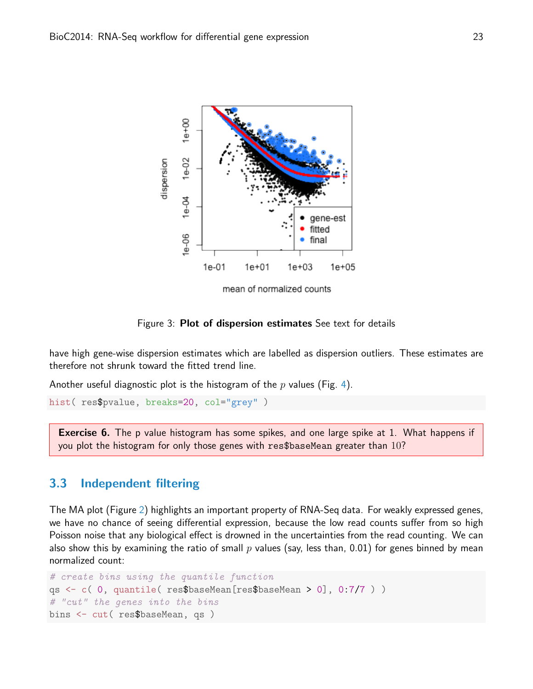

Figure 3: **Plot of dispersion estimates** See text for details

have high gene-wise dispersion estimates which are labelled as dispersion outliers. These estimates are therefore not shrunk toward the fitted trend line.

Another useful diagnostic plot is the histogram of the  $p$  values (Fig. [4\)](#page-23-0).

```
hist( res$pvalue, breaks=20, col="grey" )
```
**Exercise 6.** The p value histogram has some spikes, and one large spike at 1. What happens if you plot the histogram for only those genes with res\$baseMean greater than 10?

### <span id="page-22-0"></span>3.3 Independent filtering

The MA plot (Figure [2\)](#page-21-0) highlights an important property of RNA-Seq data. For weakly expressed genes, we have no chance of seeing differential expression, because the low read counts suffer from so high Poisson noise that any biological effect is drowned in the uncertainties from the read counting. We can also show this by examining the ratio of small  $p$  values (say, less than, 0.01) for genes binned by mean normalized count:

```
# create bins using the quantile function
qs <- c( 0, quantile( res$baseMean[res$baseMean > 0], 0:7/7 ) )
# "cut" the genes into the bins
bins <- cut( res$baseMean, qs )
```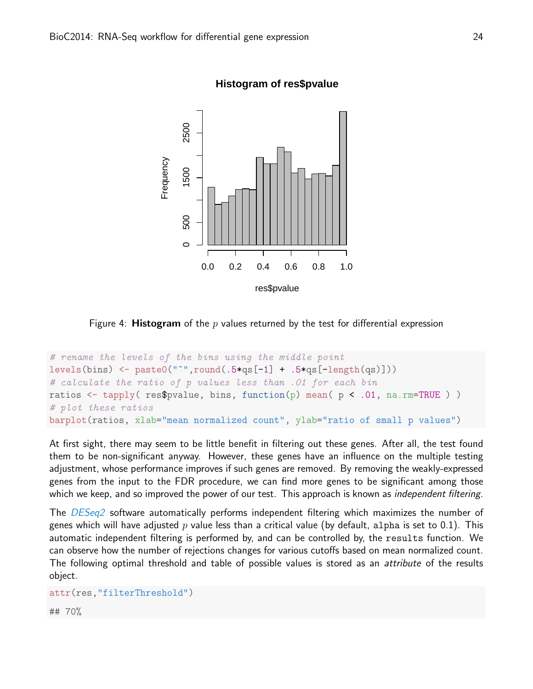

**Histogram of res\$pvalue**

<span id="page-23-0"></span>Figure 4: **Histogram** of the p values returned by the test for differential expression

```
# rename the levels of the bins using the middle point
levels(bins) \leq paste0("<sup>\leq</sup>",round(.5*qs[-1] + .5*qs[-length(qs)]))
# calculate the ratio of p values less than .01 for each bin
ratios \leq tapply( res$pvalue, bins, function(p) mean( p \leq .01, na.rm=TRUE ))
# plot these ratios
barplot(ratios, xlab="mean normalized count", ylab="ratio of small p values")
```
At first sight, there may seem to be little benefit in filtering out these genes. After all, the test found them to be non-significant anyway. However, these genes have an influence on the multiple testing adjustment, whose performance improves if such genes are removed. By removing the weakly-expressed genes from the input to the FDR procedure, we can find more genes to be significant among those which we keep, and so improved the power of our test. This approach is known as *independent filtering*.

The [DESeq2](http://bioconductor.org/packages/release/bioc/html/DESeq2.html) software automatically performs independent filtering which maximizes the number of genes which will have adjusted p value less than a critical value (by default, alpha is set to 0.1). This automatic independent filtering is performed by, and can be controlled by, the results function. We can observe how the number of rejections changes for various cutoffs based on mean normalized count. The following optimal threshold and table of possible values is stored as an *attribute* of the results object.

```
attr(res,"filterThreshold")
## 70%
```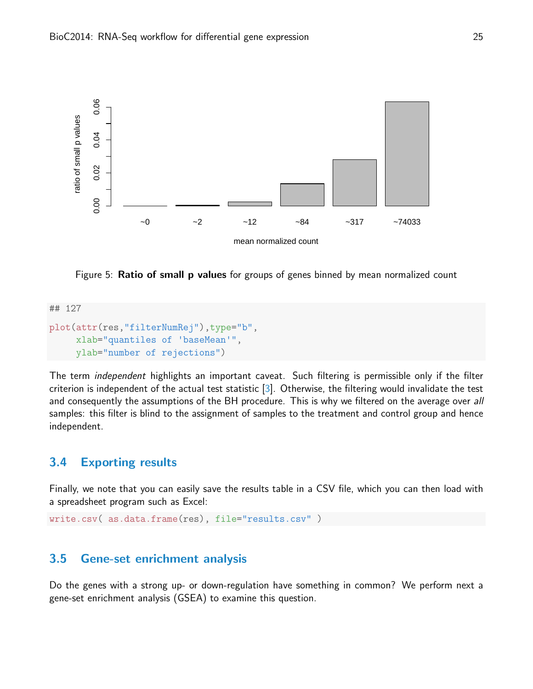

Figure 5: Ratio of small p values for groups of genes binned by mean normalized count

```
## 127
plot(attr(res,"filterNumRej"),type="b",
     xlab="quantiles of 'baseMean'",
     ylab="number of rejections")
```
The term independent highlights an important caveat. Such filtering is permissible only if the filter criterion is independent of the actual test statistic [\[3\]](#page-36-3). Otherwise, the filtering would invalidate the test and consequently the assumptions of the BH procedure. This is why we filtered on the average over all samples: this filter is blind to the assignment of samples to the treatment and control group and hence independent.

### <span id="page-24-0"></span>3.4 Exporting results

Finally, we note that you can easily save the results table in a CSV file, which you can then load with a spreadsheet program such as Excel:

```
write.csv( as.data.frame(res), file="results.csv" )
```
### <span id="page-24-1"></span>3.5 Gene-set enrichment analysis

Do the genes with a strong up- or down-regulation have something in common? We perform next a gene-set enrichment analysis (GSEA) to examine this question.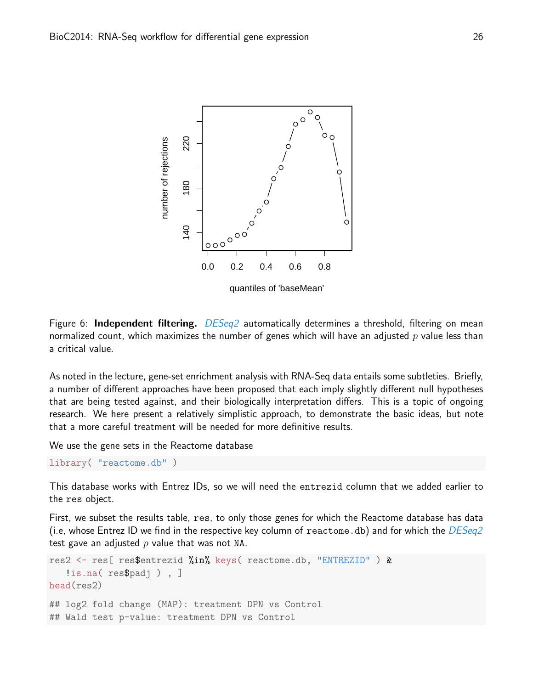

Figure 6: **Independent filtering.**  $DESeq2$  automatically determines a threshold, filtering on mean normalized count, which maximizes the number of genes which will have an adjusted  $p$  value less than a critical value.

As noted in the lecture, gene-set enrichment analysis with RNA-Seq data entails some subtleties. Briefly, a number of different approaches have been proposed that each imply slightly different null hypotheses that are being tested against, and their biologically interpretation differs. This is a topic of ongoing research. We here present a relatively simplistic approach, to demonstrate the basic ideas, but note that a more careful treatment will be needed for more definitive results.

We use the gene sets in the Reactome database

library( "reactome.db" )

This database works with Entrez IDs, so we will need the entrezid column that we added earlier to the res object.

First, we subset the results table, res, to only those genes for which the Reactome database has data (i.e, whose Entrez ID we find in the respective key column of reactome.db) and for which the  $DESeq2$ test gave an adjusted  $p$  value that was not NA.

```
res2 <- res[ res$entrezid %in% keys( reactome.db, "ENTREZID" ) &
   !is.na( res$padj ) , ]
head(res2)
## log2 fold change (MAP): treatment DPN vs Control
## Wald test p-value: treatment DPN vs Control
```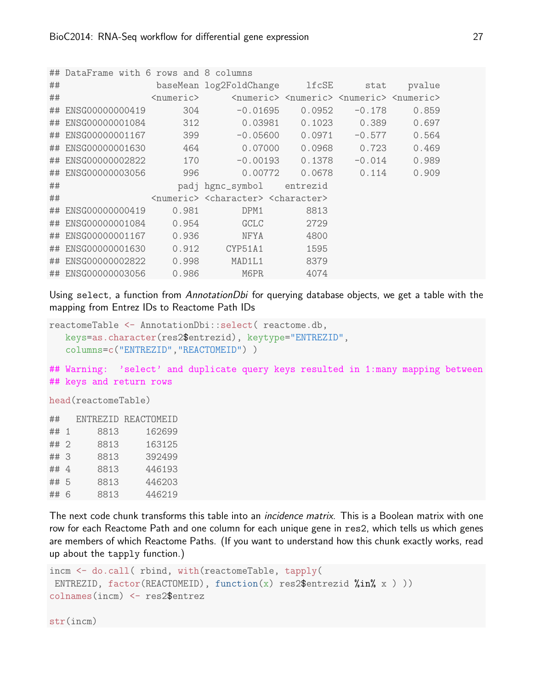|    | ## DataFrame with 6 rows and 8 columns |                     |                                                                     |                                                                                 |          |        |
|----|----------------------------------------|---------------------|---------------------------------------------------------------------|---------------------------------------------------------------------------------|----------|--------|
| ## |                                        |                     | baseMean log2FoldChange lfcSE                                       |                                                                                 | stat     | pvalue |
| ## |                                        | <numeric></numeric> |                                                                     | <numeric> <numeric> <numeric> <numeric></numeric></numeric></numeric></numeric> |          |        |
|    | ## ENSG00000000419                     | 304                 | $-0.01695$                                                          | 0.0952                                                                          | $-0.178$ | 0.859  |
|    | ## ENSG00000001084                     | 312                 | 0.03981                                                             | 0.1023                                                                          | 0.389    | 0.697  |
|    | ## ENSG00000001167                     | 399                 | $-0.05600$                                                          | 0.0971                                                                          | $-0.577$ | 0.564  |
|    | ## ENSG00000001630                     | 464                 | 0.07000                                                             | 0.0968                                                                          | 0.723    | 0.469  |
|    | ## ENSG00000002822                     | 170                 | $-0.00193$                                                          | 0.1378                                                                          | $-0.014$ | 0.989  |
|    | ## ENSG00000003056                     | 996                 | 0.00772                                                             | 0.0678                                                                          | 0.114    | 0.909  |
| ## |                                        |                     | padj hgnc_symbol entrezid                                           |                                                                                 |          |        |
| ## |                                        |                     | <numeric> <character> <character></character></character></numeric> |                                                                                 |          |        |
|    | ## ENSG00000000419                     | 0.981               | DPM1                                                                | 8813                                                                            |          |        |
|    | ## ENSG00000001084                     | 0.954               | GCLC                                                                | 2729                                                                            |          |        |
|    | ## ENSG00000001167                     | 0.936               | <b>NFYA</b>                                                         | 4800                                                                            |          |        |
|    | ## ENSG00000001630                     | 0.912               | CYP51A1                                                             | 1595                                                                            |          |        |
|    | ## ENSG00000002822                     | 0.998               | MAD1L1                                                              | 8379                                                                            |          |        |
|    | ## ENSG00000003056                     | 0.986               | M6PR                                                                | 4074                                                                            |          |        |

Using select, a function from AnnotationDbi for querying database objects, we get a table with the mapping from Entrez IDs to Reactome Path IDs

```
reactomeTable <- AnnotationDbi::select( reactome.db,
   keys=as.character(res2$entrezid), keytype="ENTREZID",
   columns=c("ENTREZID","REACTOMEID") )
```
## Warning: 'select' and duplicate query keys resulted in 1:many mapping between ## keys and return rows

head(reactomeTable)

| ##   |      | ENTREZID REACTOMEID |
|------|------|---------------------|
| ## 1 | 8813 | 162699              |
| ## 2 | 8813 | 163125              |
| ##3  | 8813 | 392499              |
| ## 4 | 8813 | 446193              |
| ## 5 | 8813 | 446203              |
| ## 6 | 8813 | 446219              |
|      |      |                     |

The next code chunk transforms this table into an *incidence matrix*. This is a Boolean matrix with one row for each Reactome Path and one column for each unique gene in res2, which tells us which genes are members of which Reactome Paths. (If you want to understand how this chunk exactly works, read up about the tapply function.)

```
incm <- do.call( rbind, with(reactomeTable, tapply(
ENTREZID, factor(REACTOMEID), function(x) res2$entrezid %in% x ) ))
colnames(incm) <- res2$entrez
```
str(incm)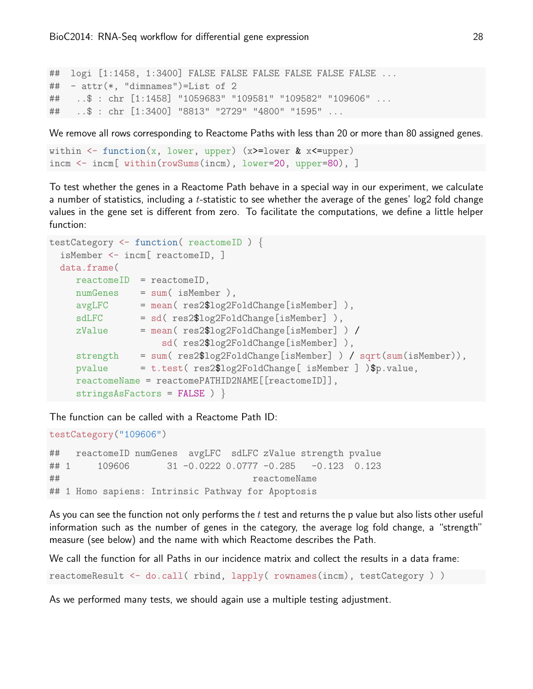```
## logi [1:1458, 1:3400] FALSE FALSE FALSE FALSE FALSE FALSE ...
## - attr(*, "dimnames")=List of 2
## ..$ : chr [1:1458] "1059683" "109581" "109582" "109606" ...
## ..$ : chr [1:3400] "8813" "2729" "4800" "1595" ...
```
We remove all rows corresponding to Reactome Paths with less than 20 or more than 80 assigned genes.

```
within \leq function(x, lower, upper) (x>=lower & x\lequpper)
incm <- incm[ within(rowSums(incm), lower=20, upper=80), ]
```
To test whether the genes in a Reactome Path behave in a special way in our experiment, we calculate a number of statistics, including a t-statistic to see whether the average of the genes' log2 fold change values in the gene set is different from zero. To facilitate the computations, we define a little helper function:

```
testCategory <- function( reactomeID ) {
 isMember <- incm[ reactomeID, ]
 data.frame(
    reactomeID = reactomeID,
    numGenes = sum( isMember ),
    avgLFC = mean( res2$log2FoldChange[isMember] ),
    sdLFC = sd( res2$log2FoldChange[isMember] ),
    zValue = mean( res2$log2FoldChange[isMember] ) /
                    sd( res2$log2FoldChange[isMember] ),
    strength = sum( res2$log2FoldChange[isMember] ) / sqrt(sum(isMember)),
    pvalue = t.test( res2$log2FoldChange[ isMember ] )$p.value,
    reactomeName = reactomePATHID2NAME[[reactomeID]],
    stringsAsFactors = FALSE ) }
```
The function can be called with a Reactome Path ID:

```
testCategory("109606")
```
## reactomeID numGenes avgLFC sdLFC zValue strength pvalue ## 1 109606 31 -0.0222 0.0777 -0.285 -0.123 0.123 ## reactomeName ## 1 Homo sapiens: Intrinsic Pathway for Apoptosis

As you can see the function not only performs the  $t$  test and returns the p value but also lists other useful information such as the number of genes in the category, the average log fold change, a "strength" measure (see below) and the name with which Reactome describes the Path.

We call the function for all Paths in our incidence matrix and collect the results in a data frame:

reactomeResult <- do.call( rbind, lapply( rownames(incm), testCategory ) )

As we performed many tests, we should again use a multiple testing adjustment.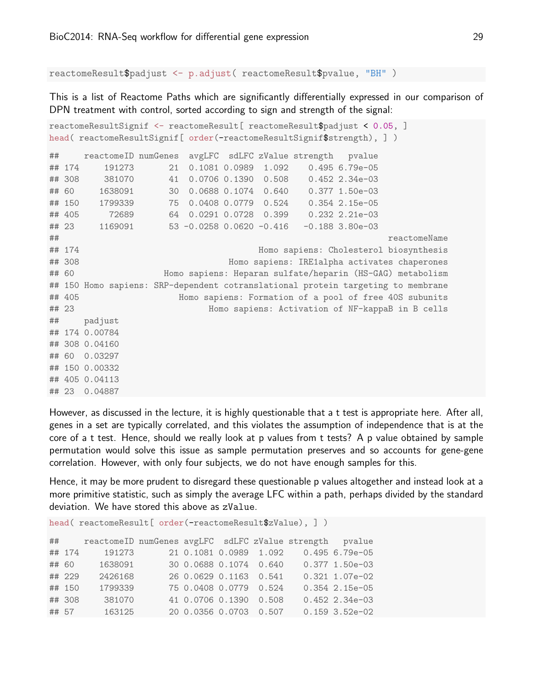reactomeResult\$padjust <- p.adjust( reactomeResult\$pvalue, "BH" )

This is a list of Reactome Paths which are significantly differentially expressed in our comparison of DPN treatment with control, sorted according to sign and strength of the signal:

```
reactomeResultSignif <- reactomeResult[ reactomeResult$padjust < 0.05, ]
head( reactomeResultSignif[ order(-reactomeResultSignif$strength), ] )
## reactomeID numGenes avgLFC sdLFC zValue strength pvalue
## 174 191273 21 0.1081 0.0989 1.092 0.495 6.79e-05
## 308 381070 41 0.0706 0.1390 0.508 0.452 2.34e-03
## 60 1638091 30 0.0688 0.1074 0.640 0.377 1.50e-03
## 150 1799339 75 0.0408 0.0779 0.524 0.354 2.15e-05
## 405 72689 64 0.0291 0.0728 0.399 0.232 2.21e-03
## 23 1169091 53 -0.0258 0.0620 -0.416 -0.188 3.80e-03
## reactomeName
## 174 Homo sapiens: Cholesterol biosynthesis
## 308 Homo sapiens: IRE1alpha activates chaperones
## 60 Homo sapiens: Heparan sulfate/heparin (HS-GAG) metabolism
## 150 Homo sapiens: SRP-dependent cotranslational protein targeting to membrane
## 405 Homo sapiens: Formation of a pool of free 40S subunits
## 23 Homo sapiens: Activation of NF-kappaB in B cells
## padjust
## 174 0.00784
## 308 0.04160
## 60 0.03297
## 150 0.00332
## 405 0.04113
## 23 0.04887
```
However, as discussed in the lecture, it is highly questionable that a t test is appropriate here. After all, genes in a set are typically correlated, and this violates the assumption of independence that is at the core of a t test. Hence, should we really look at p values from t tests? A p value obtained by sample permutation would solve this issue as sample permutation preserves and so accounts for gene-gene correlation. However, with only four subjects, we do not have enough samples for this.

Hence, it may be more prudent to disregard these questionable p values altogether and instead look at a more primitive statistic, such as simply the average LFC within a path, perhaps divided by the standard deviation. We have stored this above as zValue.

head( reactomeResult[ order(-reactomeResult\$zValue), ] )

| ## |        | reactomeID numGenes avgLFC sdLFC zValue strength pvalue |  |                        |  |                  |
|----|--------|---------------------------------------------------------|--|------------------------|--|------------------|
|    | ## 174 | 191273                                                  |  | 21 0.1081 0.0989 1.092 |  | $0.495$ 6.79e-05 |
|    | ## 60  | 1638091                                                 |  | 30 0.0688 0.1074 0.640 |  | $0.377$ 1.50e-03 |
|    | ## 229 | 2426168                                                 |  | 26 0.0629 0.1163 0.541 |  | $0.321$ 1.07e-02 |
|    | ## 150 | 1799339                                                 |  | 75 0.0408 0.0779 0.524 |  | $0.354$ 2.15e-05 |
|    | ## 308 | 381070                                                  |  | 41 0.0706 0.1390 0.508 |  | $0.452$ 2.34e-03 |
|    | ## 57  | 163125                                                  |  | 20 0.0356 0.0703 0.507 |  | $0.159$ 3.52e-02 |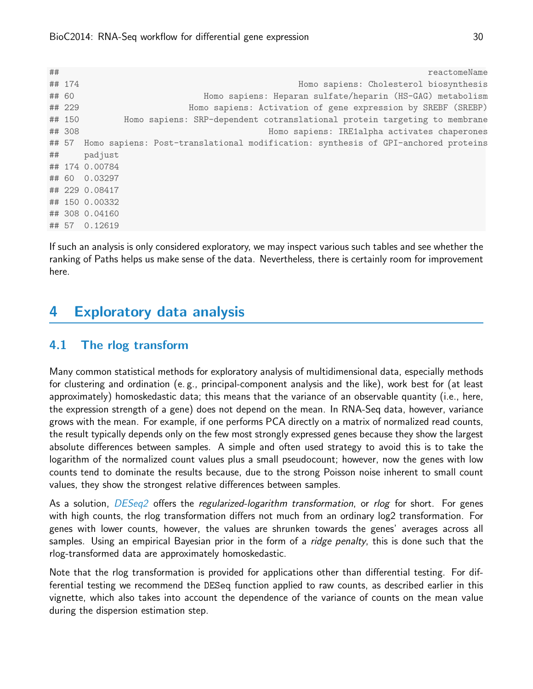## reactomeName ## 174 Homo sapiens: Cholesterol biosynthesis ## 60 Homo sapiens: Heparan sulfate/heparin (HS-GAG) metabolism ## 229 Homo sapiens: Activation of gene expression by SREBF (SREBP) ## 150 Homo sapiens: SRP-dependent cotranslational protein targeting to membrane ## 308 Homo sapiens: IRE1alpha activates chaperones ## 57 Homo sapiens: Post-translational modification: synthesis of GPI-anchored proteins ## padjust ## 174 0.00784 ## 60 0.03297 ## 229 0.08417 ## 150 0.00332 ## 308 0.04160 ## 57 0.12619

If such an analysis is only considered exploratory, we may inspect various such tables and see whether the ranking of Paths helps us make sense of the data. Nevertheless, there is certainly room for improvement here.

# <span id="page-29-0"></span>4 Exploratory data analysis

### <span id="page-29-1"></span>4.1 The rlog transform

Many common statistical methods for exploratory analysis of multidimensional data, especially methods for clustering and ordination (e. g., principal-component analysis and the like), work best for (at least approximately) homoskedastic data; this means that the variance of an observable quantity (i.e., here, the expression strength of a gene) does not depend on the mean. In RNA-Seq data, however, variance grows with the mean. For example, if one performs PCA directly on a matrix of normalized read counts, the result typically depends only on the few most strongly expressed genes because they show the largest absolute differences between samples. A simple and often used strategy to avoid this is to take the logarithm of the normalized count values plus a small pseudocount; however, now the genes with low counts tend to dominate the results because, due to the strong Poisson noise inherent to small count values, they show the strongest relative differences between samples.

As a solution, *[DESeq2](http://bioconductor.org/packages/release/bioc/html/DESeq2.html)* offers the regularized-logarithm transformation, or rlog for short. For genes with high counts, the rlog transformation differs not much from an ordinary log2 transformation. For genes with lower counts, however, the values are shrunken towards the genes' averages across all samples. Using an empirical Bayesian prior in the form of a *ridge penalty*, this is done such that the rlog-transformed data are approximately homoskedastic.

Note that the rlog transformation is provided for applications other than differential testing. For differential testing we recommend the DESeq function applied to raw counts, as described earlier in this vignette, which also takes into account the dependence of the variance of counts on the mean value during the dispersion estimation step.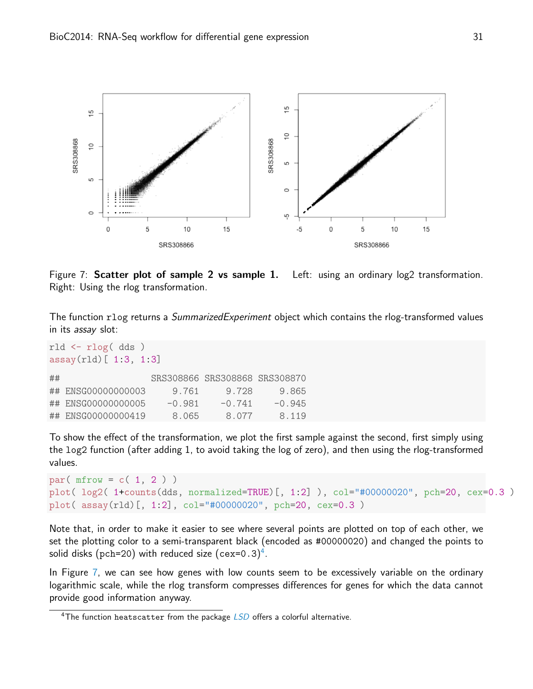

<span id="page-30-1"></span>Figure 7: Scatter plot of sample 2 vs sample 1. Left: using an ordinary log2 transformation. Right: Using the rlog transformation.

The function rlog returns a *SummarizedExperiment* object which contains the rlog-transformed values in its assay slot:

```
rld <- rlog( dds )
assay(rld) [ 1:3, 1:3]
## SRS308866 SRS308868 SRS308870
## ENSG00000000003 9.761 9.728 9.865
## ENSG00000000005 -0.981 -0.741 -0.945
## ENSG00000000419 8.065 8.077 8.119
```
To show the effect of the transformation, we plot the first sample against the second, first simply using the log2 function (after adding 1, to avoid taking the log of zero), and then using the rlog-transformed values.

```
par(mfrow = c(1, 2))
plot( log2( 1+counts(dds, normalized=TRUE)[, 1:2] ), col="#00000020", pch=20, cex=0.3 )
plot( assay(rld)[, 1:2], col="#00000020", pch=20, cex=0.3 )
```
Note that, in order to make it easier to see where several points are plotted on top of each other, we set the plotting color to a semi-transparent black (encoded as #00000020) and changed the points to solid disks (pch=20) with reduced size (cex=0.3) $^4$  $^4$ .

In Figure [7,](#page-30-1) we can see how genes with low counts seem to be excessively variable on the ordinary logarithmic scale, while the rlog transform compresses differences for genes for which the data cannot provide good information anyway.

<span id="page-30-0"></span><sup>&</sup>lt;sup>4</sup>The function heatscatter from the package  $LSD$  offers a colorful alternative.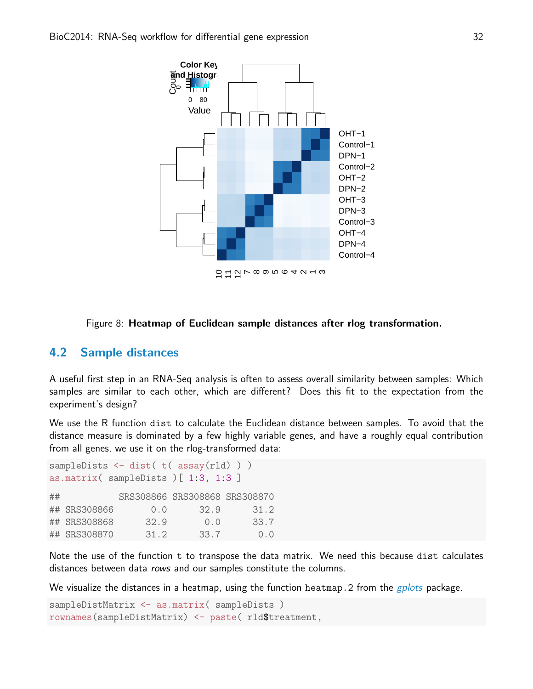

#### <span id="page-31-1"></span>Figure 8: Heatmap of Euclidean sample distances after rlog transformation.

#### <span id="page-31-0"></span>4.2 Sample distances

A useful first step in an RNA-Seq analysis is often to assess overall similarity between samples: Which samples are similar to each other, which are different? Does this fit to the expectation from the experiment's design?

We use the R function dist to calculate the Euclidean distance between samples. To avoid that the distance measure is dominated by a few highly variable genes, and have a roughly equal contribution from all genes, we use it on the rlog-transformed data:

```
sampleDists \leftarrow dist( t( assay(rld) ))
as.matrix( sampleDists )[ 1:3, 1:3 ]
## SRS308866 SRS308868 SRS308870
## SRS308866 0.0 32.9 31.2
## SRS308868 32.9 0.0 33.7
## SRS308870 31.2 33.7 0.0
```
Note the use of the function t to transpose the data matrix. We need this because dist calculates distances between data rows and our samples constitute the columns.

We visualize the distances in a heatmap, using the function heatmap. 2 from the  $gplots$  package.

```
sampleDistMatrix <- as.matrix( sampleDists )
rownames(sampleDistMatrix) <- paste( rld$treatment,
```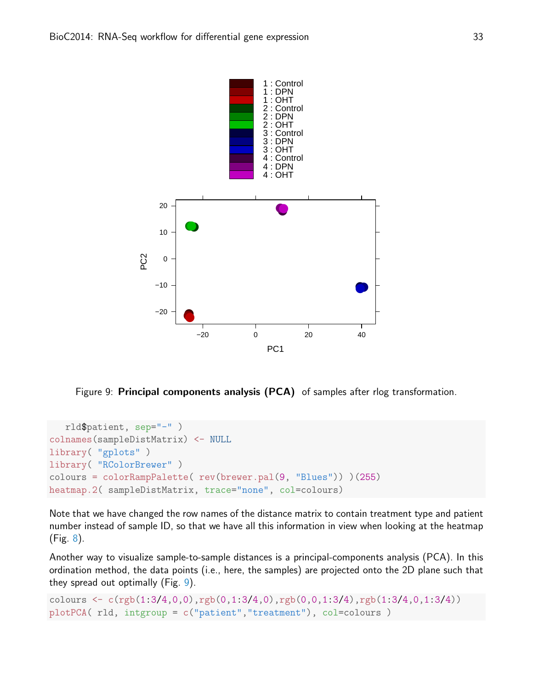

<span id="page-32-0"></span>Figure 9: Principal components analysis (PCA) of samples after rlog transformation.

```
rld$patient, sep="-" )
colnames(sampleDistMatrix) <- NULL
library( "gplots" )
library( "RColorBrewer" )
colours = colorRampPalette( rev(brewer.pal(9, "Blues")) )(255)
heatmap.2( sampleDistMatrix, trace="none", col=colours)
```
Note that we have changed the row names of the distance matrix to contain treatment type and patient number instead of sample ID, so that we have all this information in view when looking at the heatmap (Fig. [8\)](#page-31-1).

Another way to visualize sample-to-sample distances is a principal-components analysis (PCA). In this ordination method, the data points (i.e., here, the samples) are projected onto the 2D plane such that they spread out optimally (Fig. [9\)](#page-32-0).

```
colours \leq c(\text{rgb}(1:3/4, 0, 0), \text{rgb}(0, 1:3/4, 0), \text{rgb}(0, 0, 1:3/4), \text{rgb}(1:3/4, 0, 1:3/4))plotPCA( rld, intgroup = c("patient","treatment"), col=colours )
```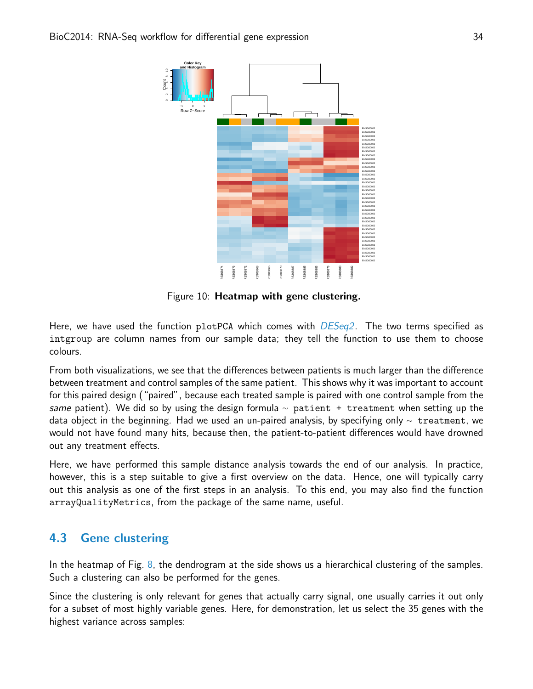

<span id="page-33-1"></span>Figure 10: Heatmap with gene clustering.

Here, we have used the function  $plotPCA$  which comes with  $DESeq2$ . The two terms specified as intgroup are column names from our sample data; they tell the function to use them to choose colours.

From both visualizations, we see that the differences between patients is much larger than the difference between treatment and control samples of the same patient. This shows why it was important to account for this paired design ("paired", because each treated sample is paired with one control sample from the same patient). We did so by using the design formula  $\sim$  patient + treatment when setting up the data object in the beginning. Had we used an un-paired analysis, by specifying only <sup>∼</sup> treatment, we would not have found many hits, because then, the patient-to-patient differences would have drowned out any treatment effects.

Here, we have performed this sample distance analysis towards the end of our analysis. In practice, however, this is a step suitable to give a first overview on the data. Hence, one will typically carry out this analysis as one of the first steps in an analysis. To this end, you may also find the function arrayQualityMetrics, from the package of the same name, useful.

## <span id="page-33-0"></span>4.3 Gene clustering

In the heatmap of Fig. [8,](#page-31-1) the dendrogram at the side shows us a hierarchical clustering of the samples. Such a clustering can also be performed for the genes.

Since the clustering is only relevant for genes that actually carry signal, one usually carries it out only for a subset of most highly variable genes. Here, for demonstration, let us select the 35 genes with the highest variance across samples: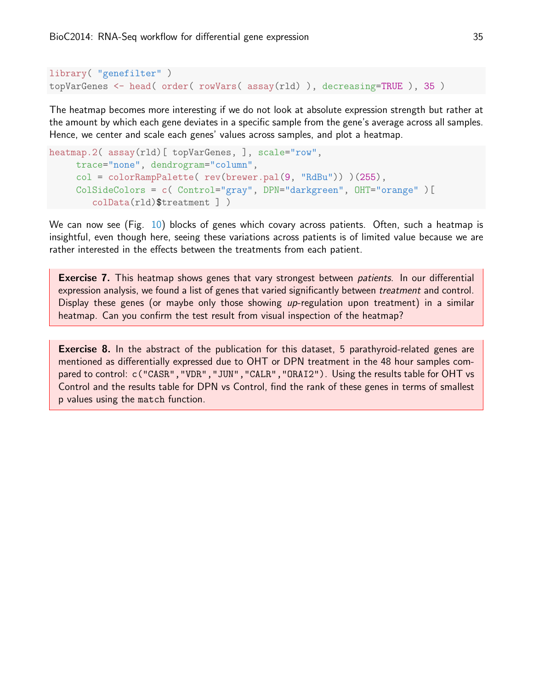```
library( "genefilter" )
topVarGenes <- head( order( rowVars( assay(rld) ), decreasing=TRUE ), 35 )
```
The heatmap becomes more interesting if we do not look at absolute expression strength but rather at the amount by which each gene deviates in a specific sample from the gene's average across all samples. Hence, we center and scale each genes' values across samples, and plot a heatmap.

```
heatmap.2( assay(rld)[ topVarGenes, ], scale="row",
     trace="none", dendrogram="column",
     col = colorRampPalette( rev(brewer.pal(9, "RdBu")) )(255),
     ColSideColors = c( Control="gray", DPN="darkgreen", OHT="orange" )[
        colData(rld)$treatment ] )
```
We can now see (Fig. [10\)](#page-33-1) blocks of genes which covary across patients. Often, such a heatmap is insightful, even though here, seeing these variations across patients is of limited value because we are rather interested in the effects between the treatments from each patient.

**Exercise 7.** This heatmap shows genes that vary strongest between *patients*. In our differential expression analysis, we found a list of genes that varied significantly between *treatment* and control. Display these genes (or maybe only those showing up-regulation upon treatment) in a similar heatmap. Can you confirm the test result from visual inspection of the heatmap?

**Exercise 8.** In the abstract of the publication for this dataset, 5 parathyroid-related genes are mentioned as differentially expressed due to OHT or DPN treatment in the 48 hour samples compared to control: c("CASR", "VDR", "JUN", "CALR", "ORAI2"). Using the results table for OHT vs Control and the results table for DPN vs Control, find the rank of these genes in terms of smallest p values using the match function.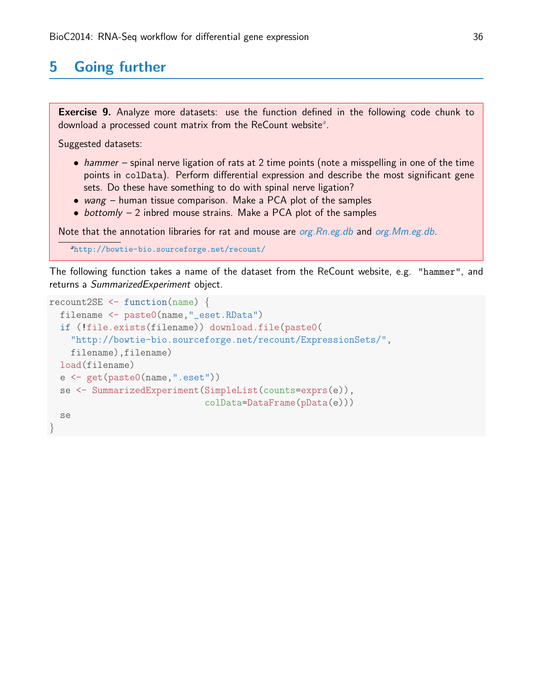# <span id="page-35-0"></span>5 Going further

**Exercise 9.** Analyze more datasets: use the function defined in the following code chunk to downlo[a](#page-35-1)d a processed count matrix from the ReCount website<sup>a</sup>.

Suggested datasets:

- hammer spinal nerve ligation of rats at 2 time points (note a misspelling in one of the time points in colData). Perform differential expression and describe the most significant gene sets. Do these have something to do with spinal nerve ligation?
- wang human tissue comparison. Make a PCA plot of the samples
- $\bullet$  bottomly  $-2$  inbred mouse strains. Make a PCA plot of the samples

Note that the annotation libraries for rat and mouse are  $org.Rn.eg.db$  and  $org.Mm.eg.db$ .

<span id="page-35-1"></span><sup>a</sup><http://bowtie-bio.sourceforge.net/recount/>

The following function takes a name of the dataset from the ReCount website, e.g. "hammer", and returns a SummarizedExperiment object.

```
recount2SE <- function(name) {
 filename <- paste0(name,"_eset.RData")
  if (!file.exists(filename)) download.file(paste0(
    "http://bowtie-bio.sourceforge.net/recount/ExpressionSets/",
    filename),filename)
 load(filename)
  e <- get(paste0(name,".eset"))
  se <- SummarizedExperiment(SimpleList(counts=exprs(e)),
                             colData=DataFrame(pData(e)))
  se
}
```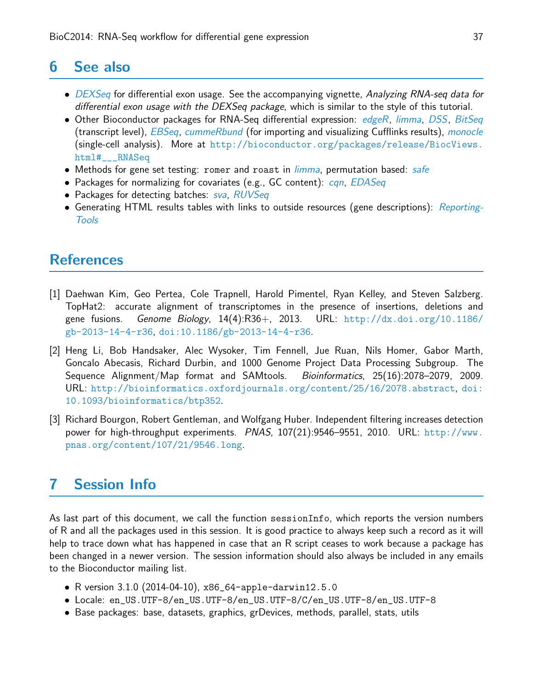# <span id="page-36-0"></span>6 See also

- [DEXSeq](http://bioconductor.org/packages/release/bioc/html/DEXSeq.html) for differential exon usage. See the accompanying vignette, Analyzing RNA-seq data for differential exon usage with the DEXSeq package, which is similar to the style of this tutorial.
- Other Bioconductor packages for RNA-Seq differential expression: [edgeR](http://bioconductor.org/packages/release/bioc/html/edgeR.html), [limma](http://bioconductor.org/packages/release/bioc/html/limma.html), [DSS](http://bioconductor.org/packages/release/bioc/html/DSS.html), [BitSeq](http://bioconductor.org/packages/release/bioc/html/BitSeq.html) (transcript level), [EBSeq](http://bioconductor.org/packages/release/bioc/html/EBSeq.html), [cummeRbund](http://bioconductor.org/packages/release/bioc/html/cummeRbund.html) (for importing and visualizing Cufflinks results), [monocle](http://bioconductor.org/packages/release/bioc/html/monocle.html) (single-cell analysis). More at [http://bioconductor.org/packages/release/BiocViews.](http://bioconductor.org/packages/release/BiocViews.html#___RNASeq) [html#\\_\\_\\_RNASeq](http://bioconductor.org/packages/release/BiocViews.html#___RNASeq)
- Methods for gene set testing: romer and roast in *[limma](http://bioconductor.org/packages/release/bioc/html/limma.html)*, permutation based: [safe](http://bioconductor.org/packages/release/bioc/html/safe.html)
- Packages for normalizing for covariates (e.g., GC content): can, [EDASeq](http://bioconductor.org/packages/release/bioc/html/EDASeq.html)
- Packages for detecting batches: [sva](http://bioconductor.org/packages/release/bioc/html/sva.html), [RUVSeq](http://bioconductor.org/packages/release/bioc/html/RUVSeq.html)
- Generating HTML results tables with links to outside resources (gene descriptions): [Reporting-](http://bioconductor.org/packages/release/bioc/html/ReportingTools.html)[Tools](http://bioconductor.org/packages/release/bioc/html/ReportingTools.html)

# **References**

- <span id="page-36-2"></span>[1] Daehwan Kim, Geo Pertea, Cole Trapnell, Harold Pimentel, Ryan Kelley, and Steven Salzberg. TopHat2: accurate alignment of transcriptomes in the presence of insertions, deletions and gene fusions. Genome Biology,  $14(4)$ :R36+, 2013. URL:  $http://dx.doi.org/10.1186/$ [gb-2013-14-4-r36](http://dx.doi.org/10.1186/gb-2013-14-4-r36), [doi:10.1186/gb-2013-14-4-r36](http://dx.doi.org/10.1186/gb-2013-14-4-r36).
- [2] Heng Li, Bob Handsaker, Alec Wysoker, Tim Fennell, Jue Ruan, Nils Homer, Gabor Marth, Goncalo Abecasis, Richard Durbin, and 1000 Genome Project Data Processing Subgroup. The Sequence Alignment/Map format and SAMtools. Bioinformatics, 25(16):2078–2079, 2009. URL: <http://bioinformatics.oxfordjournals.org/content/25/16/2078.abstract>, [doi:](http://dx.doi.org/10.1093/bioinformatics/btp352) [10.1093/bioinformatics/btp352](http://dx.doi.org/10.1093/bioinformatics/btp352).
- <span id="page-36-3"></span>[3] Richard Bourgon, Robert Gentleman, and Wolfgang Huber. Independent filtering increases detection power for high-throughput experiments. PNAS, 107(21):9546–9551, 2010. URL: [http://www.](http://www.pnas.org/content/107/21/9546.long) [pnas.org/content/107/21/9546.long](http://www.pnas.org/content/107/21/9546.long).

# <span id="page-36-1"></span>7 Session Info

As last part of this document, we call the function sessionInfo, which reports the version numbers of R and all the packages used in this session. It is good practice to always keep such a record as it will help to trace down what has happened in case that an R script ceases to work because a package has been changed in a newer version. The session information should also always be included in any emails to the Bioconductor mailing list.

- R version 3.1.0 (2014-04-10), x86\_64-apple-darwin12.5.0
- Locale: en\_US.UTF-8/en\_US.UTF-8/en\_US.UTF-8/C/en\_US.UTF-8/en\_US.UTF-8
- Base packages: base, datasets, graphics, grDevices, methods, parallel, stats, utils